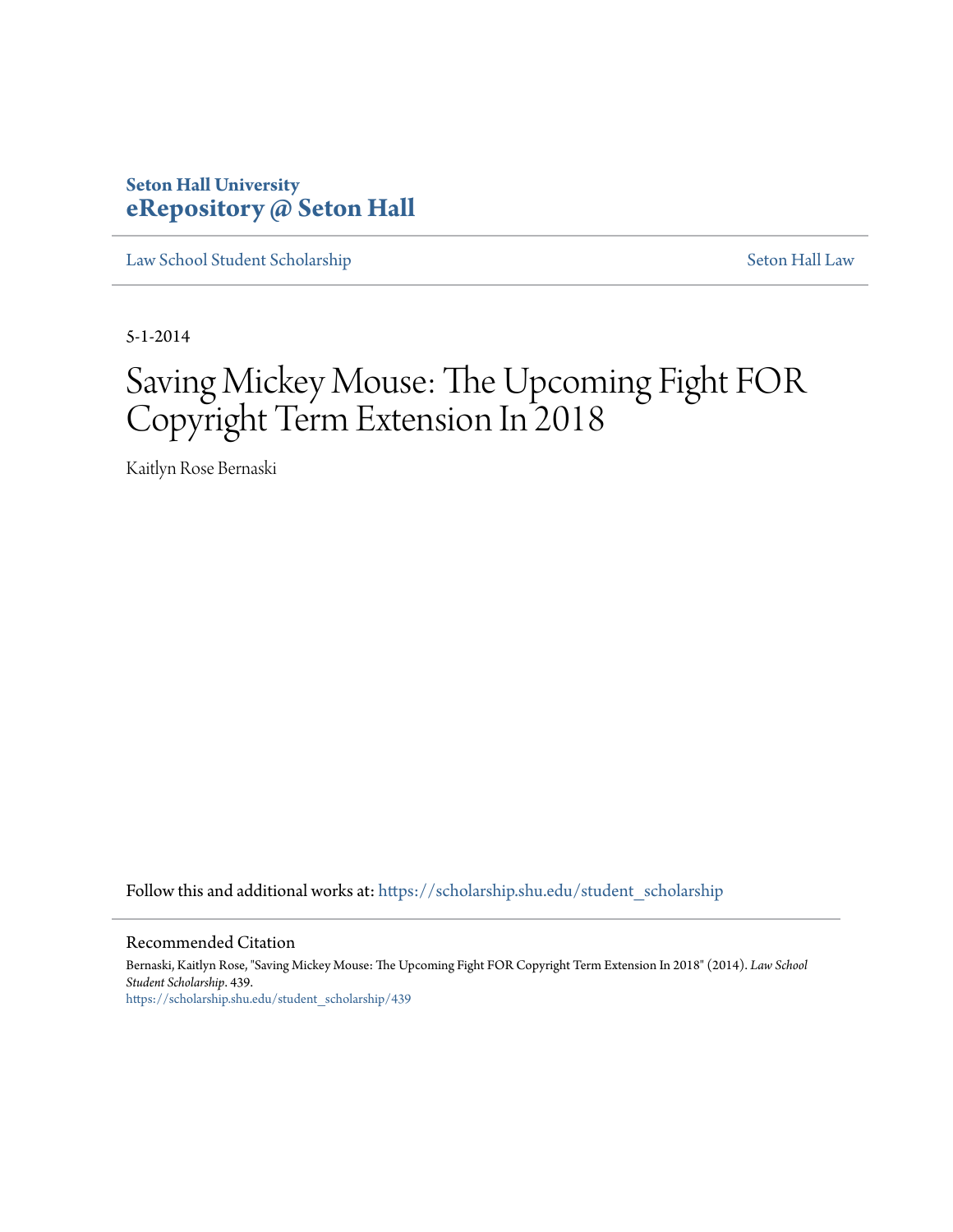# **Seton Hall University [eRepository @ Seton Hall](https://scholarship.shu.edu?utm_source=scholarship.shu.edu%2Fstudent_scholarship%2F439&utm_medium=PDF&utm_campaign=PDFCoverPages)**

[Law School Student Scholarship](https://scholarship.shu.edu/student_scholarship?utm_source=scholarship.shu.edu%2Fstudent_scholarship%2F439&utm_medium=PDF&utm_campaign=PDFCoverPages) [Seton Hall Law](https://scholarship.shu.edu/law?utm_source=scholarship.shu.edu%2Fstudent_scholarship%2F439&utm_medium=PDF&utm_campaign=PDFCoverPages)

5-1-2014

# Saving Mickey Mouse: The Upcoming Fight FOR Copyright Term Extension In 2018

Kaitlyn Rose Bernaski

Follow this and additional works at: [https://scholarship.shu.edu/student\\_scholarship](https://scholarship.shu.edu/student_scholarship?utm_source=scholarship.shu.edu%2Fstudent_scholarship%2F439&utm_medium=PDF&utm_campaign=PDFCoverPages)

#### Recommended Citation

Bernaski, Kaitlyn Rose, "Saving Mickey Mouse: The Upcoming Fight FOR Copyright Term Extension In 2018" (2014). *Law School Student Scholarship*. 439. [https://scholarship.shu.edu/student\\_scholarship/439](https://scholarship.shu.edu/student_scholarship/439?utm_source=scholarship.shu.edu%2Fstudent_scholarship%2F439&utm_medium=PDF&utm_campaign=PDFCoverPages)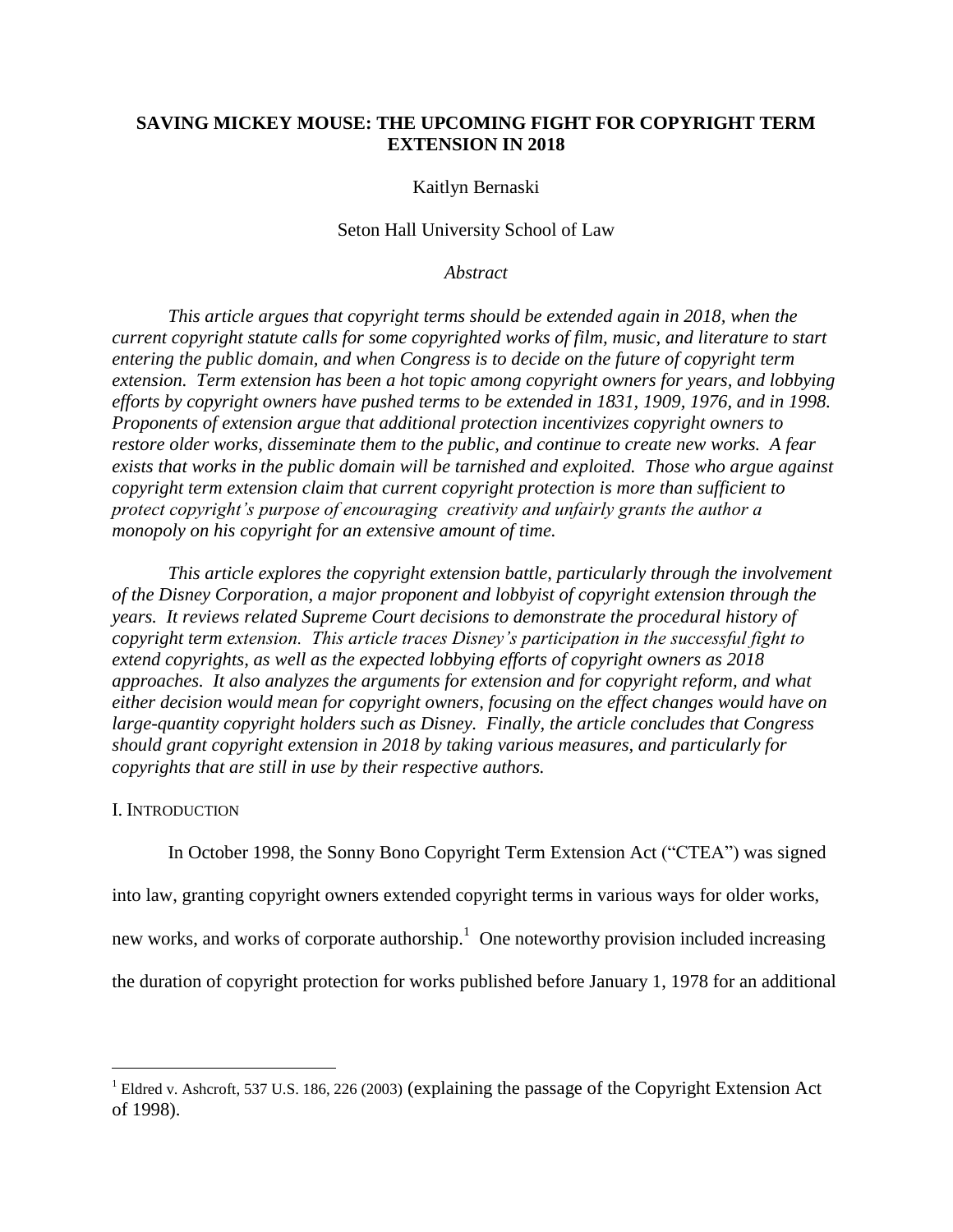# **SAVING MICKEY MOUSE: THE UPCOMING FIGHT FOR COPYRIGHT TERM EXTENSION IN 2018**

#### Kaitlyn Bernaski

#### Seton Hall University School of Law

*Abstract*

*This article argues that copyright terms should be extended again in 2018, when the current copyright statute calls for some copyrighted works of film, music, and literature to start entering the public domain, and when Congress is to decide on the future of copyright term extension. Term extension has been a hot topic among copyright owners for years, and lobbying efforts by copyright owners have pushed terms to be extended in 1831, 1909, 1976, and in 1998. Proponents of extension argue that additional protection incentivizes copyright owners to restore older works, disseminate them to the public, and continue to create new works. A fear exists that works in the public domain will be tarnished and exploited. Those who argue against copyright term extension claim that current copyright protection is more than sufficient to protect copyright's purpose of encouraging creativity and unfairly grants the author a monopoly on his copyright for an extensive amount of time.* 

*This article explores the copyright extension battle, particularly through the involvement of the Disney Corporation, a major proponent and lobbyist of copyright extension through the years. It reviews related Supreme Court decisions to demonstrate the procedural history of copyright term extension. This article traces Disney's participation in the successful fight to extend copyrights, as well as the expected lobbying efforts of copyright owners as 2018 approaches. It also analyzes the arguments for extension and for copyright reform, and what either decision would mean for copyright owners, focusing on the effect changes would have on large-quantity copyright holders such as Disney. Finally, the article concludes that Congress should grant copyright extension in 2018 by taking various measures, and particularly for copyrights that are still in use by their respective authors.* 

#### I. INTRODUCTION

 $\overline{a}$ 

In October 1998, the Sonny Bono Copyright Term Extension Act ("CTEA") was signed into law, granting copyright owners extended copyright terms in various ways for older works, new works, and works of corporate authorship. $<sup>1</sup>$  One noteworthy provision included increasing</sup> the duration of copyright protection for works published before January 1, 1978 for an additional

<sup>&</sup>lt;sup>1</sup> Eldred v. Ashcroft, 537 U.S. 186, 226 (2003) (explaining the passage of the Copyright Extension Act of 1998).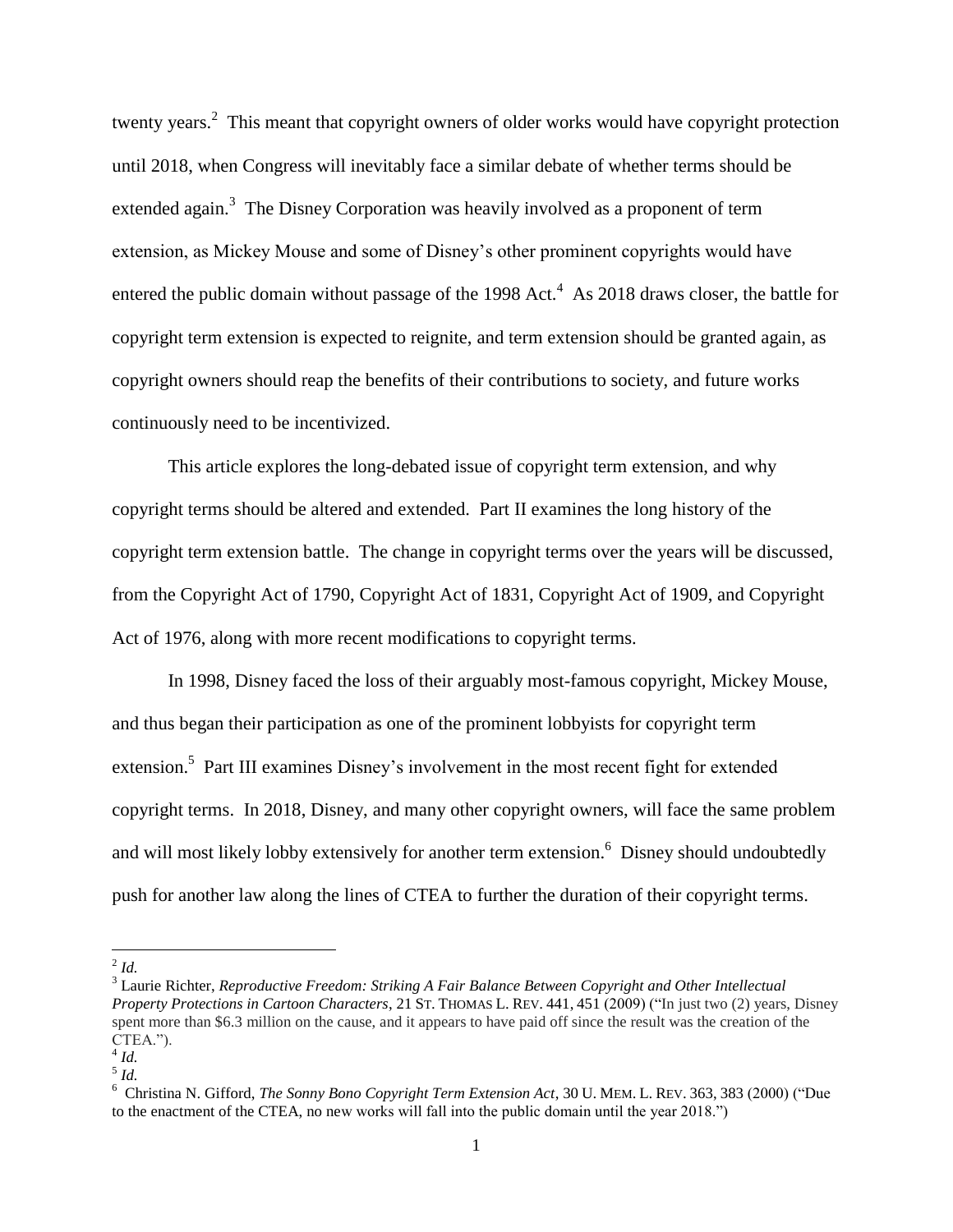twenty years.<sup>2</sup> This meant that copyright owners of older works would have copyright protection until 2018, when Congress will inevitably face a similar debate of whether terms should be extended again.<sup>3</sup> The Disney Corporation was heavily involved as a proponent of term extension, as Mickey Mouse and some of Disney's other prominent copyrights would have entered the public domain without passage of the 1998 Act.<sup>4</sup> As 2018 draws closer, the battle for copyright term extension is expected to reignite, and term extension should be granted again, as copyright owners should reap the benefits of their contributions to society, and future works continuously need to be incentivized.

This article explores the long-debated issue of copyright term extension, and why copyright terms should be altered and extended. Part II examines the long history of the copyright term extension battle. The change in copyright terms over the years will be discussed, from the Copyright Act of 1790, Copyright Act of 1831, Copyright Act of 1909, and Copyright Act of 1976, along with more recent modifications to copyright terms.

In 1998, Disney faced the loss of their arguably most-famous copyright, Mickey Mouse, and thus began their participation as one of the prominent lobbyists for copyright term extension.<sup>5</sup> Part III examines Disney's involvement in the most recent fight for extended copyright terms. In 2018, Disney, and many other copyright owners, will face the same problem and will most likely lobby extensively for another term extension.<sup>6</sup> Disney should undoubtedly push for another law along the lines of CTEA to further the duration of their copyright terms.

 $\frac{2}{1}$ *Id.* 

<sup>3</sup> Laurie Richter, *Reproductive Freedom: Striking A Fair Balance Between Copyright and Other Intellectual Property Protections in Cartoon Characters*, 21 ST. THOMAS L. REV. 441, 451 (2009) ("In just two (2) years, Disney spent more than \$6.3 million on the cause, and it appears to have paid off since the result was the creation of the CTEA.").

<sup>4</sup> *Id.*

<sup>5</sup> *Id.*

<sup>6</sup> Christina N. Gifford, *The Sonny Bono Copyright Term Extension Act*, 30 U. MEM. L. REV. 363, 383 (2000) ("Due to the enactment of the CTEA, no new works will fall into the public domain until the year 2018.")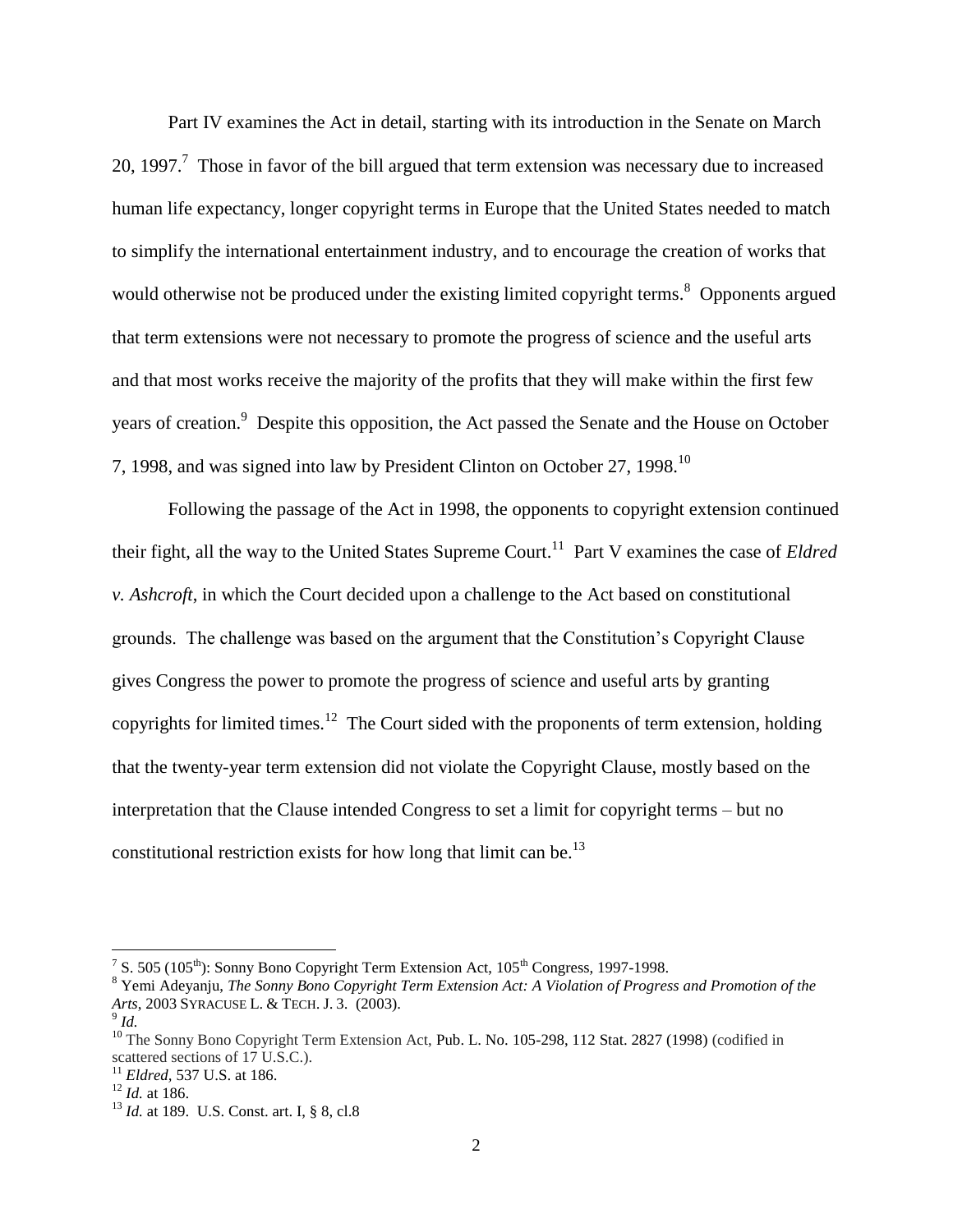Part IV examines the Act in detail, starting with its introduction in the Senate on March 20, 1997.<sup>7</sup> Those in favor of the bill argued that term extension was necessary due to increased human life expectancy, longer copyright terms in Europe that the United States needed to match to simplify the international entertainment industry, and to encourage the creation of works that would otherwise not be produced under the existing limited copyright terms.<sup>8</sup> Opponents argued that term extensions were not necessary to promote the progress of science and the useful arts and that most works receive the majority of the profits that they will make within the first few years of creation.<sup>9</sup> Despite this opposition, the Act passed the Senate and the House on October 7, 1998, and was signed into law by President Clinton on October 27, 1998.<sup>10</sup>

Following the passage of the Act in 1998, the opponents to copyright extension continued their fight, all the way to the United States Supreme Court.<sup>11</sup> Part V examines the case of *Eldred v. Ashcroft*, in which the Court decided upon a challenge to the Act based on constitutional grounds. The challenge was based on the argument that the Constitution's Copyright Clause gives Congress the power to promote the progress of science and useful arts by granting copyrights for limited times.<sup>12</sup> The Court sided with the proponents of term extension, holding that the twenty-year term extension did not violate the Copyright Clause, mostly based on the interpretation that the Clause intended Congress to set a limit for copyright terms – but no constitutional restriction exists for how long that limit can be.<sup>13</sup>

<sup>&</sup>lt;sup>7</sup> S. 505 (105<sup>th</sup>): Sonny Bono Copyright Term Extension Act, 105<sup>th</sup> Congress, 1997-1998.

<sup>8</sup> Yemi Adeyanju, *The Sonny Bono Copyright Term Extension Act: A Violation of Progress and Promotion of the Arts*, 2003 SYRACUSE L. & TECH. J. 3. (2003).

<sup>9</sup> *Id.*

<sup>&</sup>lt;sup>10</sup> The Sonny Bono Copyright Term Extension Act, Pub. L. No. 105-298, 112 Stat. 2827 (1998) (codified in scattered sections of 17 U.S.C.).

<sup>11</sup> *Eldred,* 537 U.S. at 186.

<sup>12</sup> *Id.* at 186.

<sup>13</sup> *Id.* at 189. U.S. Const. art. I, § 8, cl.8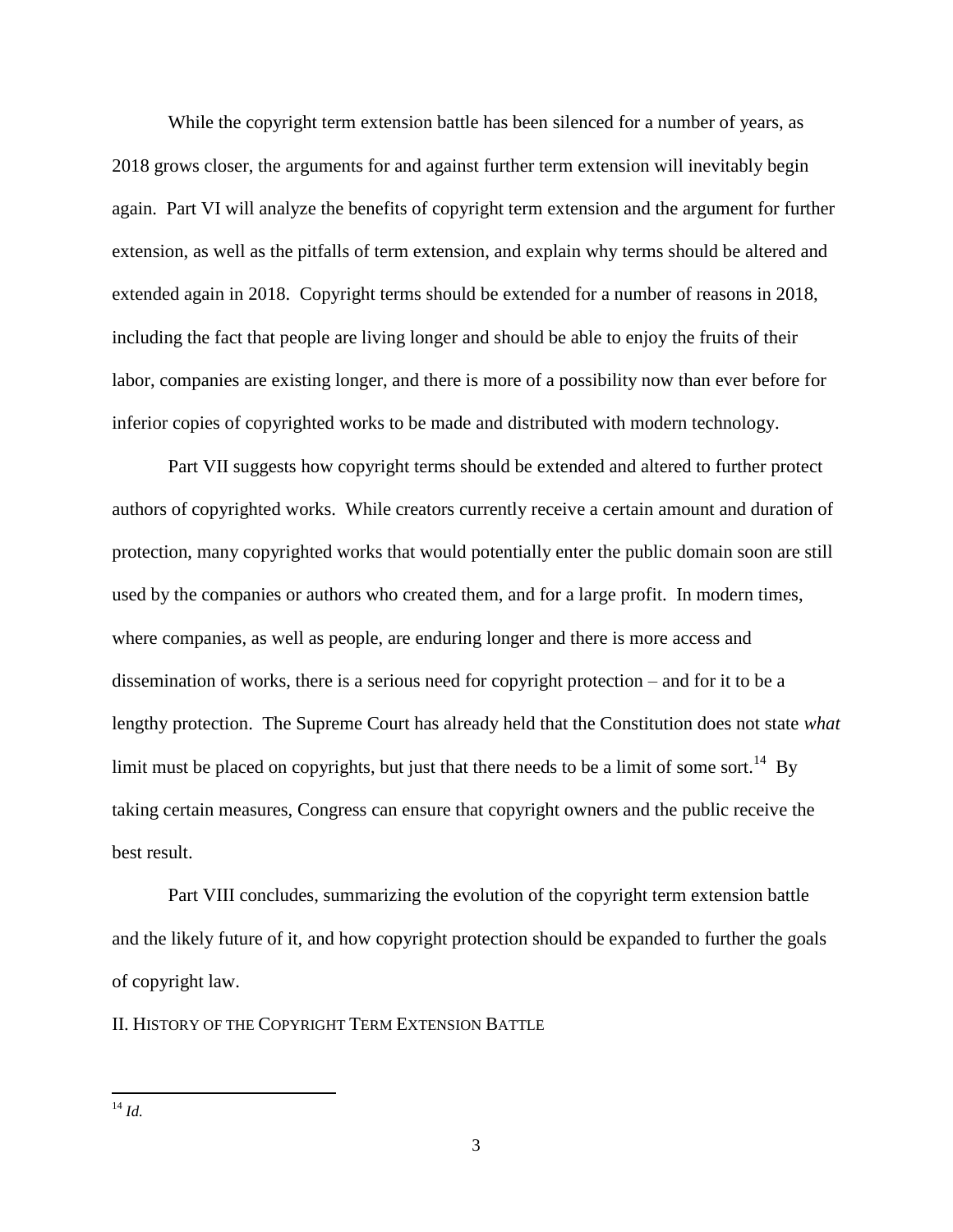While the copyright term extension battle has been silenced for a number of years, as 2018 grows closer, the arguments for and against further term extension will inevitably begin again. Part VI will analyze the benefits of copyright term extension and the argument for further extension, as well as the pitfalls of term extension, and explain why terms should be altered and extended again in 2018. Copyright terms should be extended for a number of reasons in 2018, including the fact that people are living longer and should be able to enjoy the fruits of their labor, companies are existing longer, and there is more of a possibility now than ever before for inferior copies of copyrighted works to be made and distributed with modern technology.

Part VII suggests how copyright terms should be extended and altered to further protect authors of copyrighted works. While creators currently receive a certain amount and duration of protection, many copyrighted works that would potentially enter the public domain soon are still used by the companies or authors who created them, and for a large profit. In modern times, where companies, as well as people, are enduring longer and there is more access and dissemination of works, there is a serious need for copyright protection – and for it to be a lengthy protection. The Supreme Court has already held that the Constitution does not state *what*  limit must be placed on copyrights, but just that there needs to be a limit of some sort.<sup>14</sup> By taking certain measures, Congress can ensure that copyright owners and the public receive the best result.

Part VIII concludes, summarizing the evolution of the copyright term extension battle and the likely future of it, and how copyright protection should be expanded to further the goals of copyright law.

II. HISTORY OF THE COPYRIGHT TERM EXTENSION BATTLE

 $\overline{a}$ <sup>14</sup> *Id.*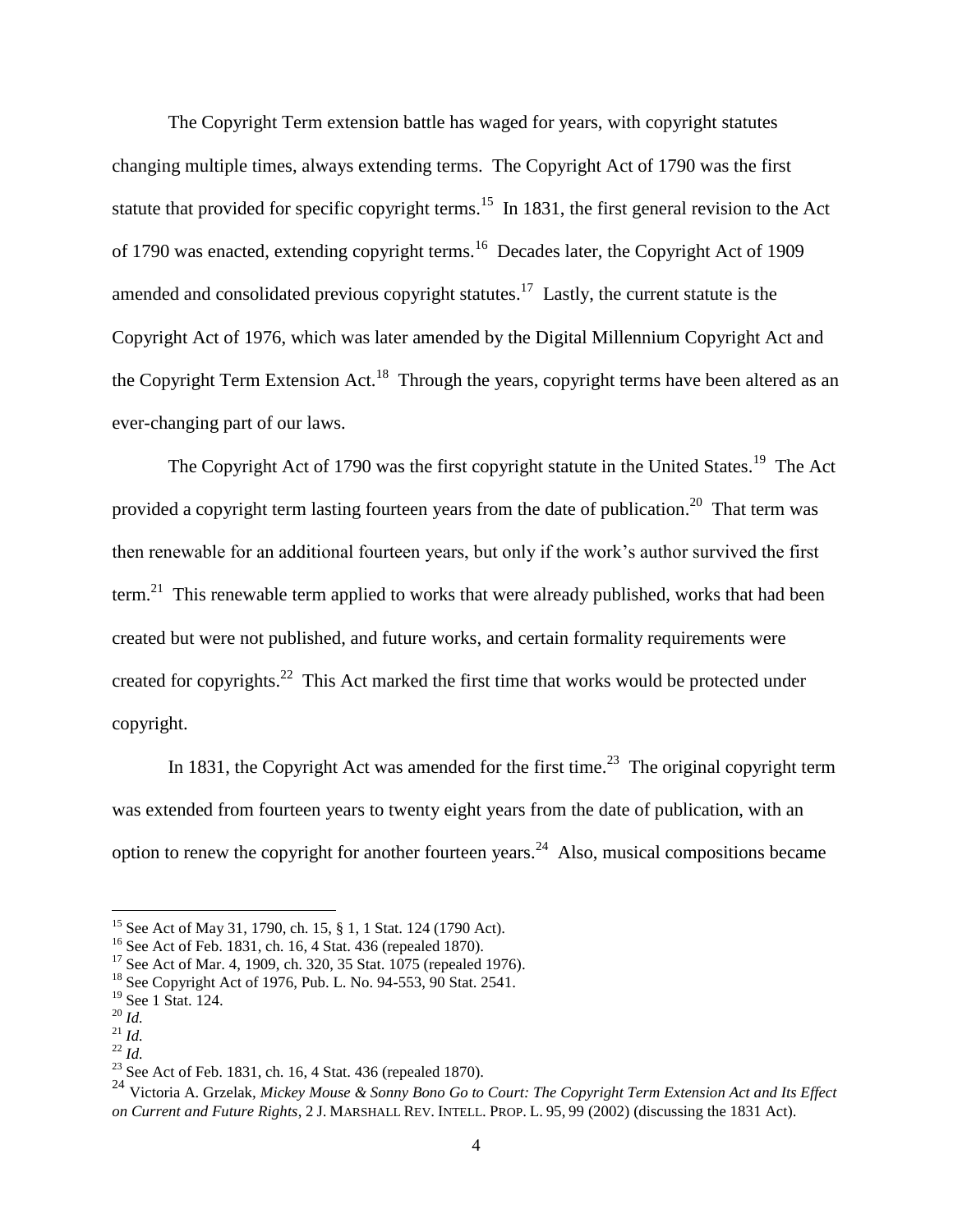The Copyright Term extension battle has waged for years, with copyright statutes changing multiple times, always extending terms. The Copyright Act of 1790 was the first statute that provided for specific copyright terms.<sup>15</sup> In 1831, the first general revision to the Act of 1790 was enacted, extending copyright terms.<sup>16</sup> Decades later, the Copyright Act of 1909 amended and consolidated previous copyright statutes.<sup>17</sup> Lastly, the current statute is the Copyright Act of 1976, which was later amended by the Digital Millennium Copyright Act and the Copyright Term Extension Act.<sup>18</sup> Through the years, copyright terms have been altered as an ever-changing part of our laws.

The Copyright Act of 1790 was the first copyright statute in the United States.<sup>19</sup> The Act provided a copyright term lasting fourteen years from the date of publication.<sup>20</sup> That term was then renewable for an additional fourteen years, but only if the work's author survived the first term.<sup>21</sup> This renewable term applied to works that were already published, works that had been created but were not published, and future works, and certain formality requirements were created for copyrights. $^{22}$  This Act marked the first time that works would be protected under copyright.

In 1831, the Copyright Act was amended for the first time.<sup>23</sup> The original copyright term was extended from fourteen years to twenty eight years from the date of publication, with an option to renew the copyright for another fourteen years.<sup>24</sup> Also, musical compositions became

<sup>&</sup>lt;sup>15</sup> See Act of May 31, 1790, ch. 15, § 1, 1 Stat. 124 (1790 Act).

<sup>&</sup>lt;sup>16</sup> See Act of Feb. 1831, ch. 16, 4 Stat. 436 (repealed 1870).

<sup>&</sup>lt;sup>17</sup> See Act of Mar. 4, 1909, ch. 320, 35 Stat. 1075 (repealed 1976).

<sup>18</sup> See Copyright Act of 1976, Pub. L. No. 94-553, 90 Stat. 2541.

<sup>19</sup> See 1 Stat. 124.

<sup>20</sup> *Id.*

<sup>21</sup> *Id.*  $^{22}$  *Id.* 

<sup>&</sup>lt;sup>23</sup> See Act of Feb. 1831, ch. 16, 4 Stat. 436 (repealed 1870).

<sup>24</sup> Victoria A. Grzelak*, Mickey Mouse & Sonny Bono Go to Court: The Copyright Term Extension Act and Its Effect on Current and Future Rights*, 2 J. MARSHALL REV. INTELL. PROP. L. 95, 99 (2002) (discussing the 1831 Act).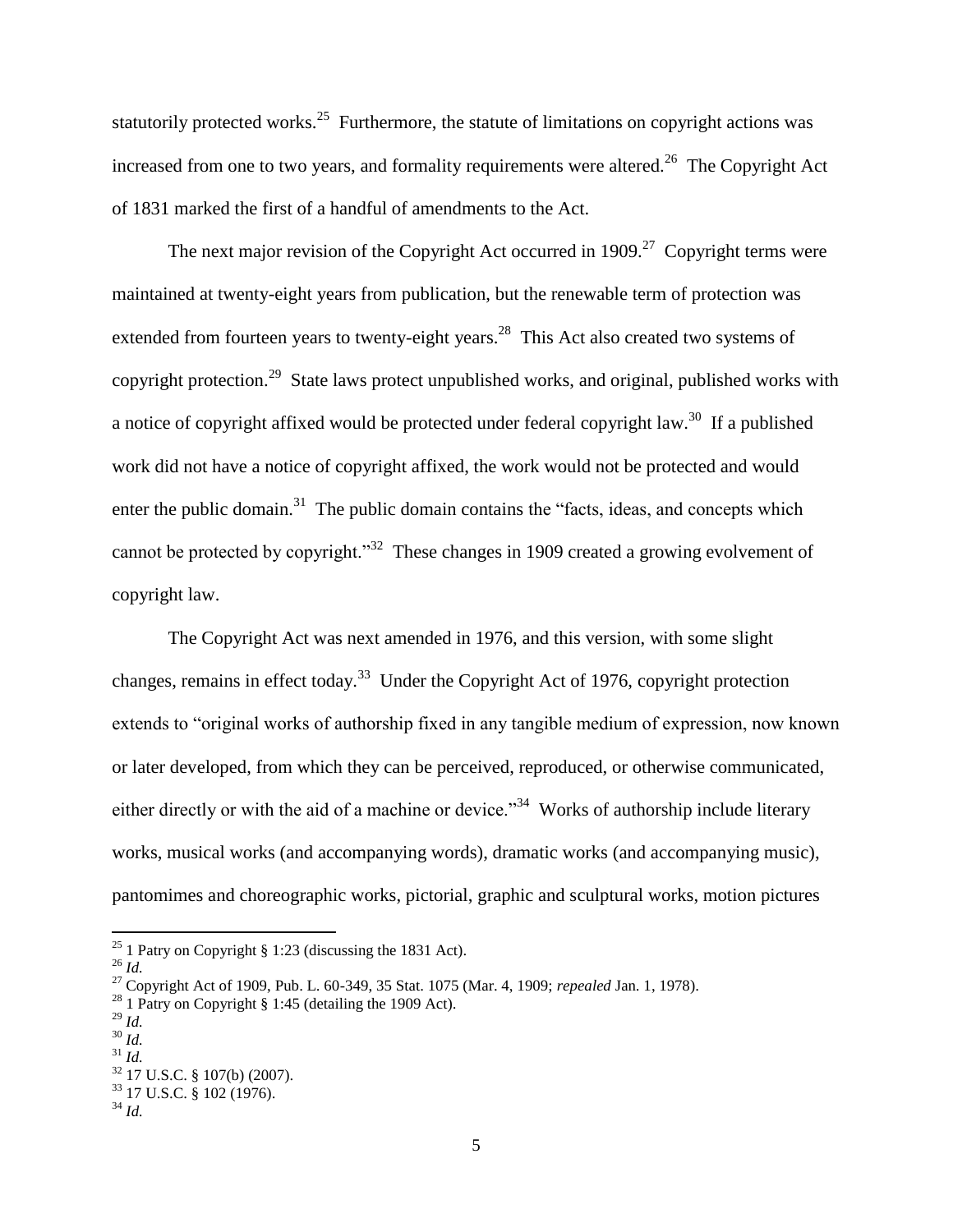statutorily protected works. $25$  Furthermore, the statute of limitations on copyright actions was increased from one to two years, and formality requirements were altered.<sup>26</sup> The Copyright Act of 1831 marked the first of a handful of amendments to the Act.

The next major revision of the Copyright Act occurred in 1909.<sup>27</sup> Copyright terms were maintained at twenty-eight years from publication, but the renewable term of protection was extended from fourteen years to twenty-eight years.<sup>28</sup> This Act also created two systems of copyright protection.<sup>29</sup> State laws protect unpublished works, and original, published works with a notice of copyright affixed would be protected under federal copyright law.<sup>30</sup> If a published work did not have a notice of copyright affixed, the work would not be protected and would enter the public domain.<sup>31</sup> The public domain contains the "facts, ideas, and concepts which cannot be protected by copyright."<sup>32</sup> These changes in 1909 created a growing evolvement of copyright law.

The Copyright Act was next amended in 1976, and this version, with some slight changes, remains in effect today.<sup>33</sup> Under the Copyright Act of 1976, copyright protection extends to "original works of authorship fixed in any tangible medium of expression, now known or later developed, from which they can be perceived, reproduced, or otherwise communicated, either directly or with the aid of a machine or device.<sup>34</sup> Works of authorship include literary works, musical works (and accompanying words), dramatic works (and accompanying music), pantomimes and choreographic works, pictorial, graphic and sculptural works, motion pictures

<sup>&</sup>lt;sup>25</sup> 1 Patry on Copyright § 1:23 (discussing the 1831 Act).

<sup>26</sup> *Id.*

<sup>27</sup> Copyright Act of 1909, Pub. L. 60-349, 35 Stat. 1075 (Mar. 4, 1909; *repealed* Jan. 1, 1978).

<sup>&</sup>lt;sup>28</sup> 1 Patry on Copyright  $\S 1:45$  (detailing the 1909 Act).

<sup>29</sup> *Id.*

<sup>30</sup> *Id.*

<sup>31</sup> *Id.*  <sup>32</sup> 17 U.S.C. § 107(b) (2007).

 $33$  17 U.S.C. § 102 (1976).

<sup>34</sup> *Id.*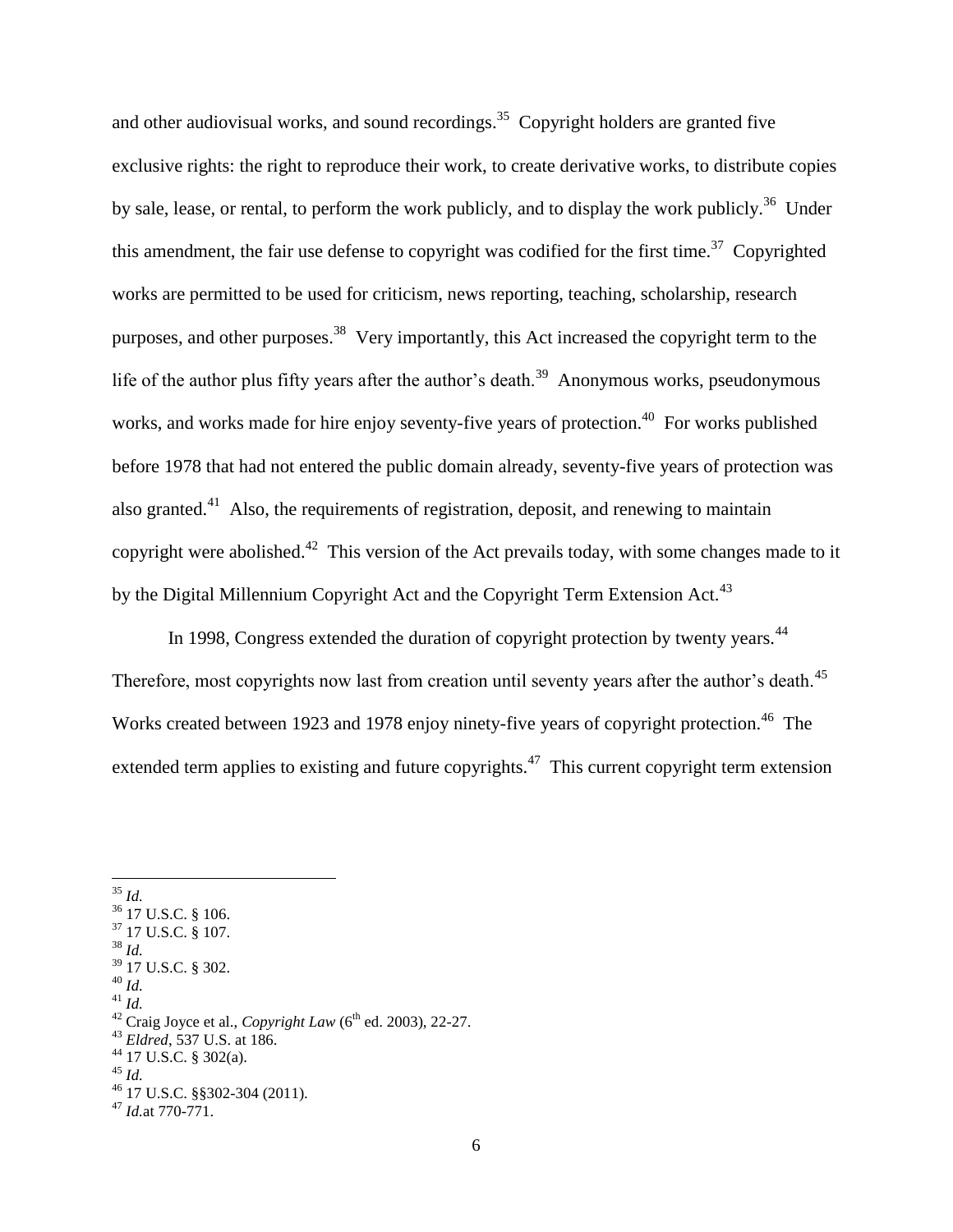and other audiovisual works, and sound recordings.<sup>35</sup> Copyright holders are granted five exclusive rights: the right to reproduce their work, to create derivative works, to distribute copies by sale, lease, or rental, to perform the work publicly, and to display the work publicly.<sup>36</sup> Under this amendment, the fair use defense to copyright was codified for the first time.<sup>37</sup> Copyrighted works are permitted to be used for criticism, news reporting, teaching, scholarship, research purposes, and other purposes.<sup>38</sup> Very importantly, this Act increased the copyright term to the life of the author plus fifty years after the author's death.<sup>39</sup> Anonymous works, pseudonymous works, and works made for hire enjoy seventy-five years of protection.<sup>40</sup> For works published before 1978 that had not entered the public domain already, seventy-five years of protection was also granted.<sup>41</sup> Also, the requirements of registration, deposit, and renewing to maintain copyright were abolished. $42$  This version of the Act prevails today, with some changes made to it by the Digital Millennium Copyright Act and the Copyright Term Extension Act.<sup>43</sup>

In 1998, Congress extended the duration of copyright protection by twenty years.<sup>44</sup> Therefore, most copyrights now last from creation until seventy years after the author's death.<sup>45</sup> Works created between 1923 and 1978 enjoy ninety-five years of copyright protection.<sup>46</sup> The extended term applies to existing and future copyrights.<sup>47</sup> This current copyright term extension

<sup>35</sup> *Id.* <sup>36</sup> 17 U.S.C. § 106. <sup>37</sup> 17 U.S.C. § 107.  $38$  *Id.* <sup>39</sup> 17 U.S.C. § 302. <sup>40</sup> *Id.* <sup>41</sup> *Id.* <sup>42</sup> Craig Joyce et al., *Copyright Law* (6<sup>th</sup> ed. 2003), 22-27. <sup>43</sup> *Eldred*, 537 U.S. at 186.  $44$  17 U.S.C. § 302(a). <sup>45</sup> *Id.* <sup>46</sup> 17 U.S.C. §§302-304 (2011). <sup>47</sup> *Id.*at 770-771.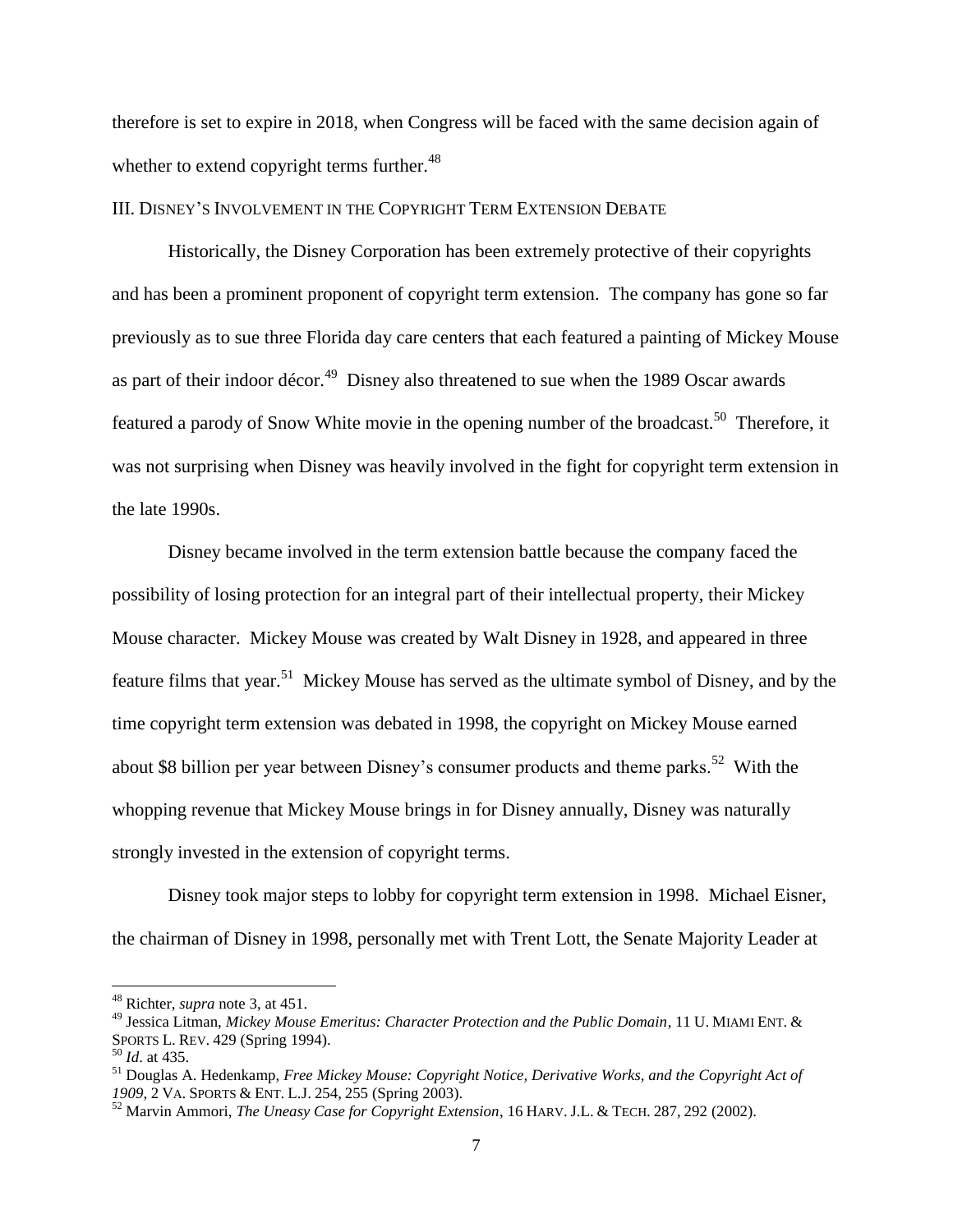therefore is set to expire in 2018, when Congress will be faced with the same decision again of whether to extend copyright terms further. $48$ 

#### III. DISNEY'S INVOLVEMENT IN THE COPYRIGHT TERM EXTENSION DEBATE

Historically, the Disney Corporation has been extremely protective of their copyrights and has been a prominent proponent of copyright term extension. The company has gone so far previously as to sue three Florida day care centers that each featured a painting of Mickey Mouse as part of their indoor décor.<sup>49</sup> Disney also threatened to sue when the 1989 Oscar awards featured a parody of Snow White movie in the opening number of the broadcast.<sup>50</sup> Therefore, it was not surprising when Disney was heavily involved in the fight for copyright term extension in the late 1990s.

Disney became involved in the term extension battle because the company faced the possibility of losing protection for an integral part of their intellectual property, their Mickey Mouse character. Mickey Mouse was created by Walt Disney in 1928, and appeared in three feature films that year.<sup>51</sup> Mickey Mouse has served as the ultimate symbol of Disney, and by the time copyright term extension was debated in 1998, the copyright on Mickey Mouse earned about \$8 billion per year between Disney's consumer products and theme parks.<sup>52</sup> With the whopping revenue that Mickey Mouse brings in for Disney annually, Disney was naturally strongly invested in the extension of copyright terms.

Disney took major steps to lobby for copyright term extension in 1998. Michael Eisner, the chairman of Disney in 1998, personally met with Trent Lott, the Senate Majority Leader at

<sup>48</sup> Richter, *supra* note 3, at 451.

<sup>49</sup> Jessica Litman, *Mickey Mouse Emeritus: Character Protection and the Public Domain*, 11 U. MIAMI ENT. & SPORTS L. REV. 429 (Spring 1994).

<sup>50</sup> *Id*. at 435.

<sup>51</sup> Douglas A. Hedenkamp, *Free Mickey Mouse: Copyright Notice, Derivative Works, and the Copyright Act of 1909*, 2 VA. SPORTS & ENT. L.J. 254, 255 (Spring 2003).

<sup>52</sup> Marvin Ammori, *The Uneasy Case for Copyright Extension*, 16 HARV. J.L. & TECH. 287, 292 (2002).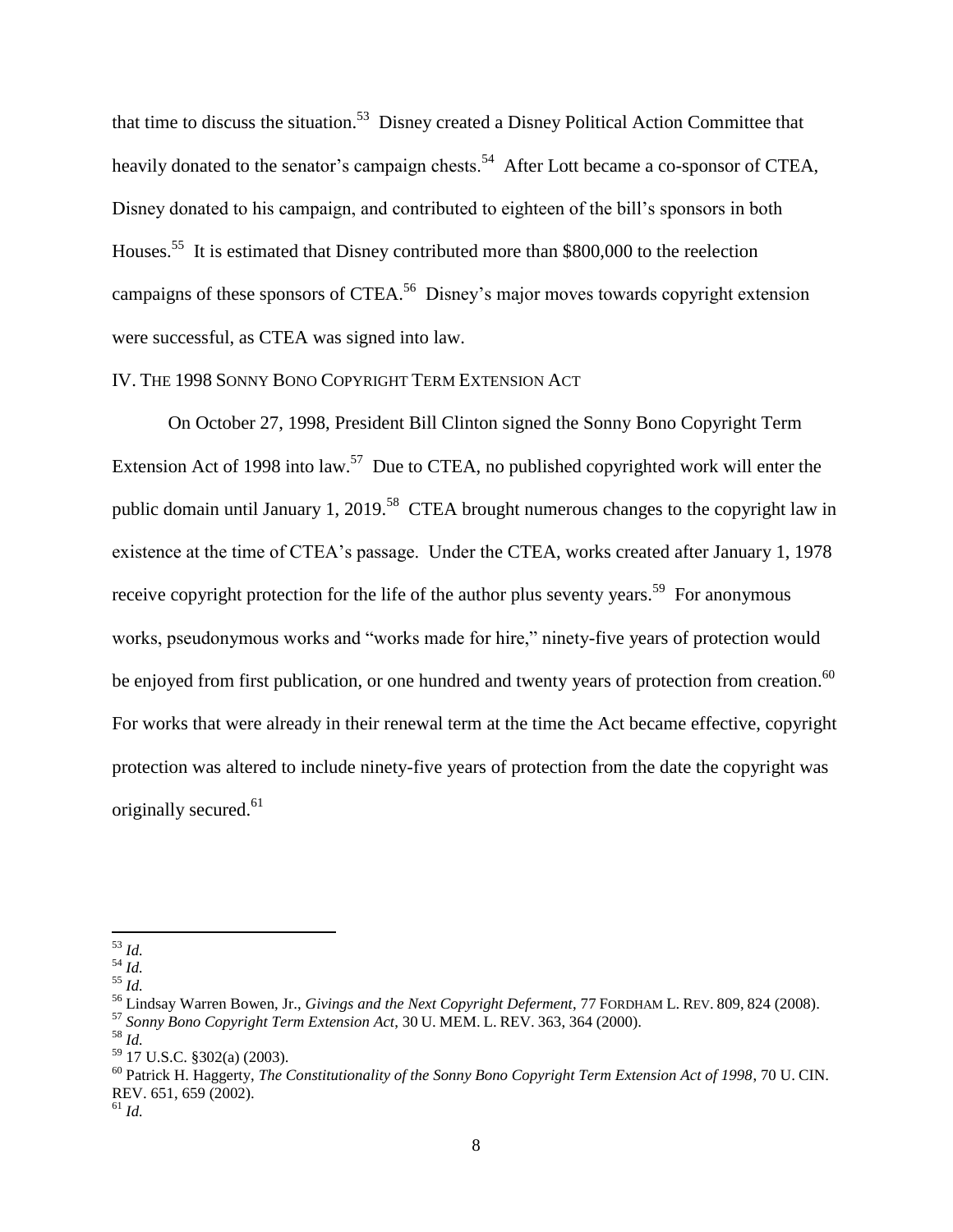that time to discuss the situation.<sup>53</sup> Disney created a Disney Political Action Committee that heavily donated to the senator's campaign chests.<sup>54</sup> After Lott became a co-sponsor of CTEA, Disney donated to his campaign, and contributed to eighteen of the bill's sponsors in both Houses.<sup>55</sup> It is estimated that Disney contributed more than \$800,000 to the reelection campaigns of these sponsors of CTEA.<sup>56</sup> Disney's major moves towards copyright extension were successful, as CTEA was signed into law.

# IV. THE 1998 SONNY BONO COPYRIGHT TERM EXTENSION ACT

On October 27, 1998, President Bill Clinton signed the Sonny Bono Copyright Term Extension Act of 1998 into law.<sup>57</sup> Due to CTEA, no published copyrighted work will enter the public domain until January 1, 2019.<sup>58</sup> CTEA brought numerous changes to the copyright law in existence at the time of CTEA's passage. Under the CTEA, works created after January 1, 1978 receive copyright protection for the life of the author plus seventy years.<sup>59</sup> For anonymous works, pseudonymous works and "works made for hire," ninety-five years of protection would be enjoyed from first publication, or one hundred and twenty years of protection from creation.<sup>60</sup> For works that were already in their renewal term at the time the Act became effective, copyright protection was altered to include ninety-five years of protection from the date the copyright was originally secured.<sup>61</sup>

 $\overline{a}$ <sup>53</sup> *Id.*

 $^{54}$  *Id.* 

<sup>55</sup> *Id.*

<sup>56</sup> Lindsay Warren Bowen, Jr., *Givings and the Next Copyright Deferment*, 77 FORDHAM L. REV. 809, 824 (2008).

<sup>57</sup> *Sonny Bono Copyright Term Extension Act*, 30 U. MEM. L. REV. 363, 364 (2000).

<sup>58</sup> *Id.* 

<sup>59</sup> 17 U.S.C. §302(a) (2003).

<sup>60</sup> Patrick H. Haggerty, *The Constitutionality of the Sonny Bono Copyright Term Extension Act of 1998*, 70 U. CIN. REV. 651, 659 (2002).

 $^{61}$  *Id.*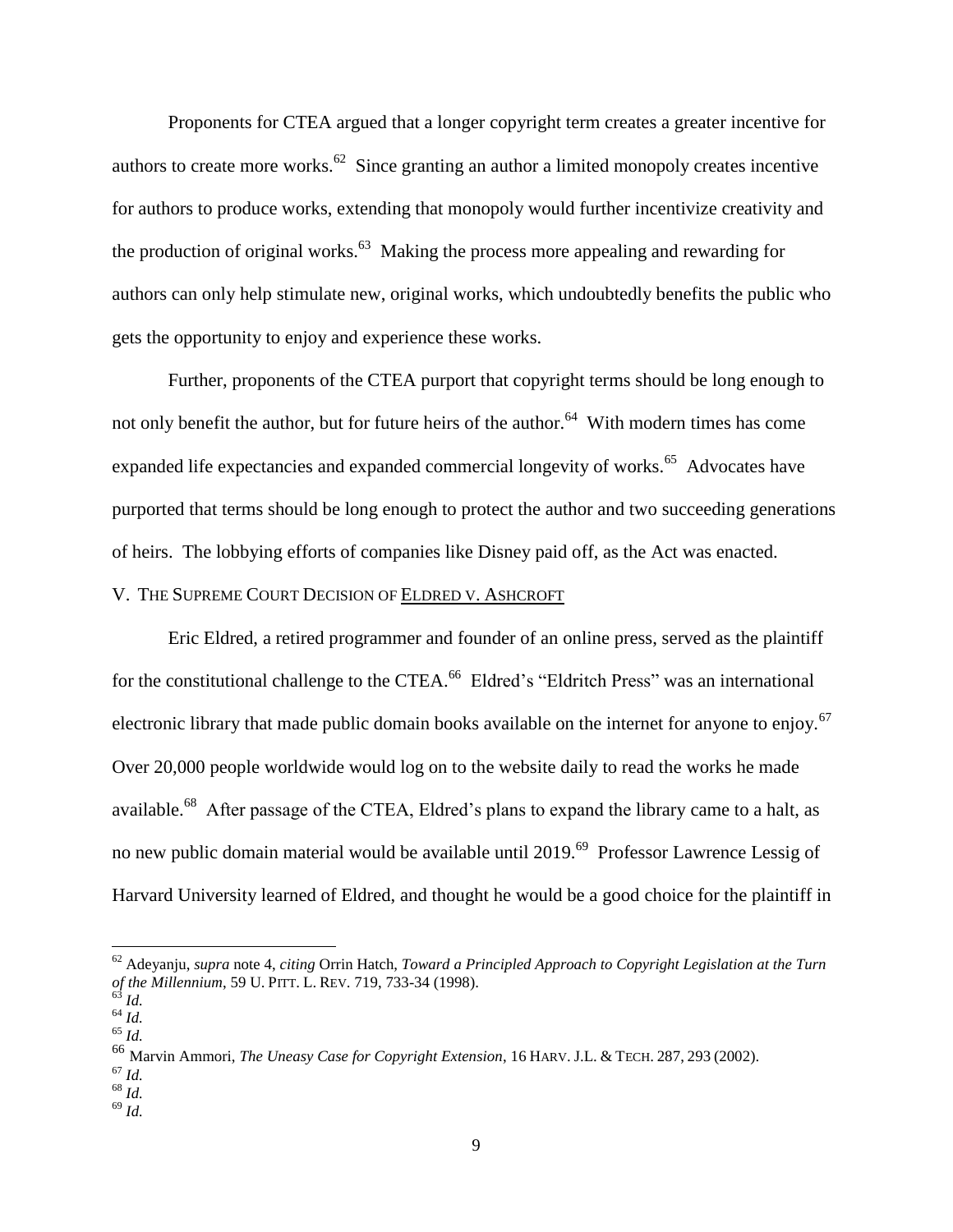Proponents for CTEA argued that a longer copyright term creates a greater incentive for authors to create more works. $^{62}$  Since granting an author a limited monopoly creates incentive for authors to produce works, extending that monopoly would further incentivize creativity and the production of original works.<sup>63</sup> Making the process more appealing and rewarding for authors can only help stimulate new, original works, which undoubtedly benefits the public who gets the opportunity to enjoy and experience these works.

Further, proponents of the CTEA purport that copyright terms should be long enough to not only benefit the author, but for future heirs of the author.<sup>64</sup> With modern times has come expanded life expectancies and expanded commercial longevity of works.<sup>65</sup> Advocates have purported that terms should be long enough to protect the author and two succeeding generations of heirs. The lobbying efforts of companies like Disney paid off, as the Act was enacted.

# V. THE SUPREME COURT DECISION OF ELDRED V. ASHCROFT

Eric Eldred, a retired programmer and founder of an online press, served as the plaintiff for the constitutional challenge to the CTEA.<sup>66</sup> Eldred's "Eldritch Press" was an international electronic library that made public domain books available on the internet for anyone to enjoy.<sup>67</sup> Over 20,000 people worldwide would log on to the website daily to read the works he made available.<sup>68</sup> After passage of the CTEA, Eldred's plans to expand the library came to a halt, as no new public domain material would be available until 2019.<sup>69</sup> Professor Lawrence Lessig of Harvard University learned of Eldred, and thought he would be a good choice for the plaintiff in

<sup>62</sup> Adeyanju, *supra* note 4, *citing* Orrin Hatch, *Toward a Principled Approach to Copyright Legislation at the Turn of the Millennium*, 59 U. PITT. L. REV. 719, 733-34 (1998).

<sup>63</sup> *Id.*

<sup>64</sup> *Id.* <sup>65</sup> *Id.*

<sup>66</sup> Marvin Ammori, *The Uneasy Case for Copyright Extension*, 16 HARV. J.L. & TECH. 287, 293 (2002).

 $^{67}$  *Id.* 

 $68 \overline{Id}$ .

<sup>69</sup> *Id.*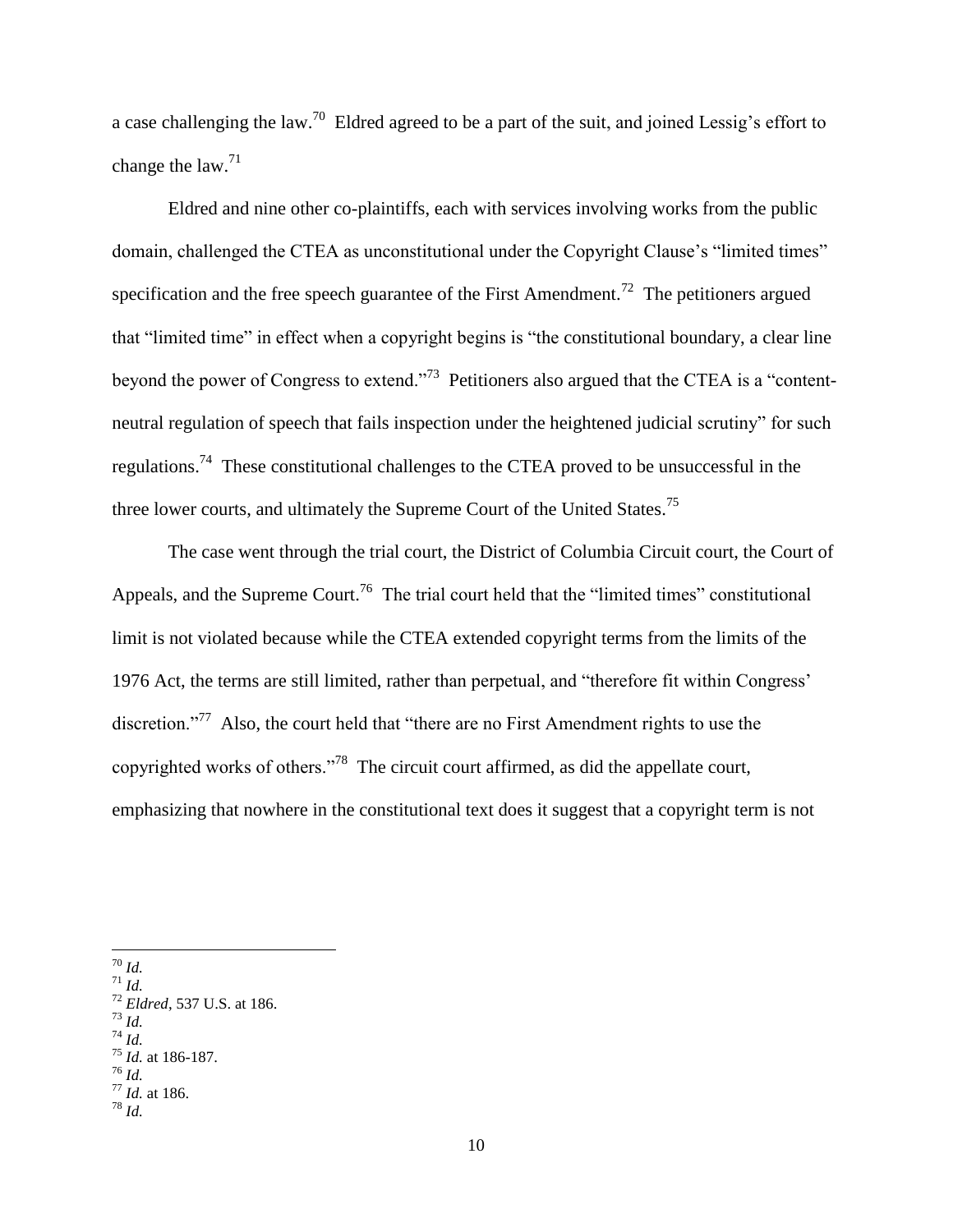a case challenging the law.<sup>70</sup> Eldred agreed to be a part of the suit, and joined Lessig's effort to change the law. $71$ 

Eldred and nine other co-plaintiffs, each with services involving works from the public domain, challenged the CTEA as unconstitutional under the Copyright Clause's "limited times" specification and the free speech guarantee of the First Amendment.<sup>72</sup> The petitioners argued that "limited time" in effect when a copyright begins is "the constitutional boundary, a clear line beyond the power of Congress to extend."<sup>73</sup> Petitioners also argued that the CTEA is a "contentneutral regulation of speech that fails inspection under the heightened judicial scrutiny" for such regulations.<sup>74</sup> These constitutional challenges to the CTEA proved to be unsuccessful in the three lower courts, and ultimately the Supreme Court of the United States.<sup>75</sup>

The case went through the trial court, the District of Columbia Circuit court, the Court of Appeals, and the Supreme Court.<sup>76</sup> The trial court held that the "limited times" constitutional limit is not violated because while the CTEA extended copyright terms from the limits of the 1976 Act, the terms are still limited, rather than perpetual, and "therefore fit within Congress' discretion."<sup>77</sup> Also, the court held that "there are no First Amendment rights to use the copyrighted works of others."<sup>78</sup> The circuit court affirmed, as did the appellate court, emphasizing that nowhere in the constitutional text does it suggest that a copyright term is not

 $\overline{a}$ <sup>70</sup> *Id.* 

<sup>74</sup> *Id.* 

 $\overline{u}$ <sup>71</sup> *Id.* 

<sup>72</sup> *Eldred*, 537 U.S. at 186. <sup>73</sup> *Id.* 

<sup>75</sup> *Id.* at 186-187.

<sup>76</sup> *Id.*

 $^{77}$  *Id.* at 186.

<sup>78</sup> *Id.*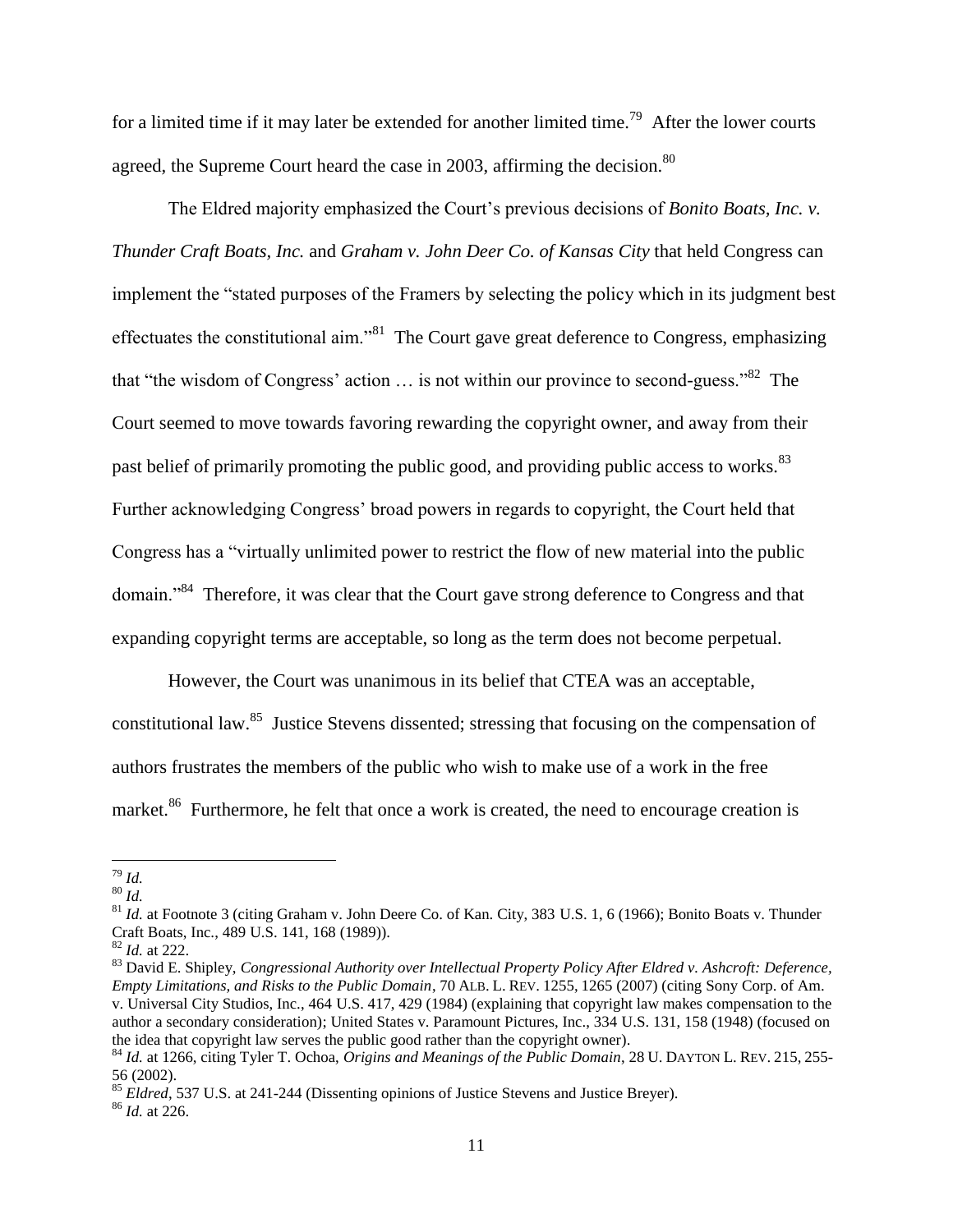for a limited time if it may later be extended for another limited time.<sup>79</sup> After the lower courts agreed, the Supreme Court heard the case in 2003, affirming the decision.<sup>80</sup>

The Eldred majority emphasized the Court's previous decisions of *Bonito Boats, Inc. v. Thunder Craft Boats, Inc.* and *Graham v. John Deer Co. of Kansas City* that held Congress can implement the "stated purposes of the Framers by selecting the policy which in its judgment best effectuates the constitutional aim."<sup>81</sup> The Court gave great deference to Congress, emphasizing that "the wisdom of Congress' action  $\ldots$  is not within our province to second-guess."<sup>82</sup> The Court seemed to move towards favoring rewarding the copyright owner, and away from their past belief of primarily promoting the public good, and providing public access to works.<sup>83</sup> Further acknowledging Congress' broad powers in regards to copyright, the Court held that Congress has a "virtually unlimited power to restrict the flow of new material into the public domain."<sup>84</sup> Therefore, it was clear that the Court gave strong deference to Congress and that expanding copyright terms are acceptable, so long as the term does not become perpetual.

However, the Court was unanimous in its belief that CTEA was an acceptable, constitutional law.<sup>85</sup> Justice Stevens dissented; stressing that focusing on the compensation of authors frustrates the members of the public who wish to make use of a work in the free market.<sup>86</sup> Furthermore, he felt that once a work is created, the need to encourage creation is

 $\overline{a}$ <sup>79</sup> *Id.*

<sup>80</sup> *Id.* 

<sup>&</sup>lt;sup>81</sup> *Id.* at Footnote 3 (citing Graham v. John Deere Co. of Kan. City, 383 U.S. 1, 6 (1966); Bonito Boats v. Thunder Craft Boats, Inc., 489 U.S. 141, 168 (1989)).

<sup>82</sup> *Id.* at 222.

<sup>83</sup> David E. Shipley, *Congressional Authority over Intellectual Property Policy After Eldred v. Ashcroft: Deference, Empty Limitations, and Risks to the Public Domain*, 70 ALB. L. REV. 1255, 1265 (2007) (citing Sony Corp. of Am. v. Universal City Studios, Inc., 464 U.S. 417, 429 (1984) (explaining that copyright law makes compensation to the author a secondary consideration); United States v. Paramount Pictures, Inc., 334 U.S. 131, 158 (1948) (focused on the idea that copyright law serves the public good rather than the copyright owner).

<sup>84</sup> *Id.* at 1266, citing Tyler T. Ochoa, *Origins and Meanings of the Public Domain*, 28 U. DAYTON L. REV. 215, 255- 56 (2002).

<sup>&</sup>lt;sup>85</sup> *Eldred*, 537 U.S. at 241-244 (Dissenting opinions of Justice Stevens and Justice Breyer).

<sup>86</sup> *Id.* at 226.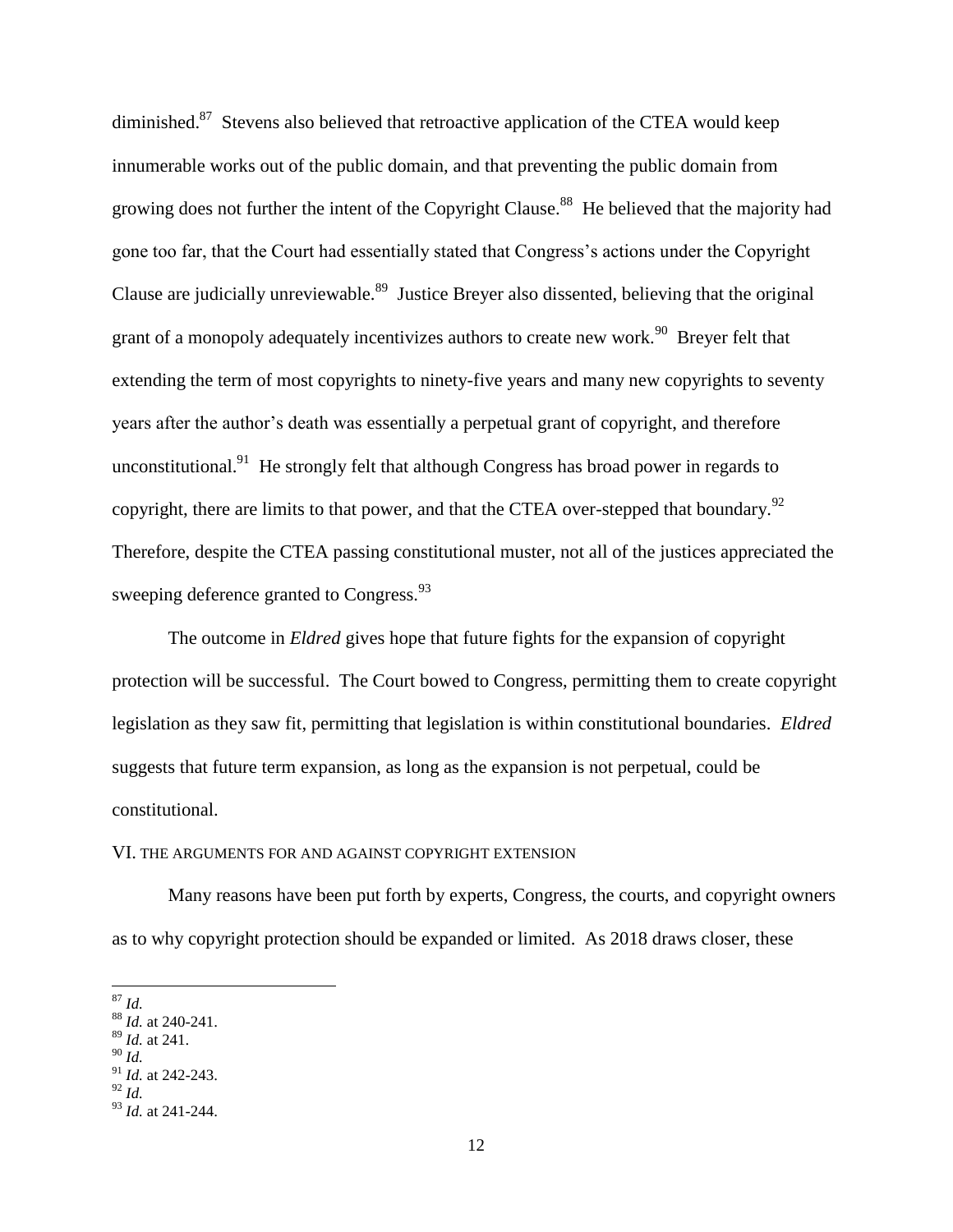diminished.<sup>87</sup> Stevens also believed that retroactive application of the CTEA would keep innumerable works out of the public domain, and that preventing the public domain from growing does not further the intent of the Copyright Clause.<sup>88</sup> He believed that the majority had gone too far, that the Court had essentially stated that Congress's actions under the Copyright Clause are judicially unreviewable.<sup>89</sup> Justice Breyer also dissented, believing that the original grant of a monopoly adequately incentivizes authors to create new work.<sup>90</sup> Breyer felt that extending the term of most copyrights to ninety-five years and many new copyrights to seventy years after the author's death was essentially a perpetual grant of copyright, and therefore unconstitutional.<sup>91</sup> He strongly felt that although Congress has broad power in regards to copyright, there are limits to that power, and that the CTEA over-stepped that boundary. $92$ Therefore, despite the CTEA passing constitutional muster, not all of the justices appreciated the sweeping deference granted to Congress. $^{93}$ 

The outcome in *Eldred* gives hope that future fights for the expansion of copyright protection will be successful. The Court bowed to Congress, permitting them to create copyright legislation as they saw fit, permitting that legislation is within constitutional boundaries. *Eldred* suggests that future term expansion, as long as the expansion is not perpetual, could be constitutional.

#### VI. THE ARGUMENTS FOR AND AGAINST COPYRIGHT EXTENSION

Many reasons have been put forth by experts, Congress, the courts, and copyright owners as to why copyright protection should be expanded or limited. As 2018 draws closer, these

 $\overline{a}$ <sup>87</sup> *Id.*

<sup>88</sup> *Id.* at 240-241.

<sup>89</sup> *Id.* at 241.

<sup>90</sup> *Id.*

<sup>91</sup> *Id.* at 242-243. <sup>92</sup> *Id.*

<sup>93</sup> *Id.* at 241-244.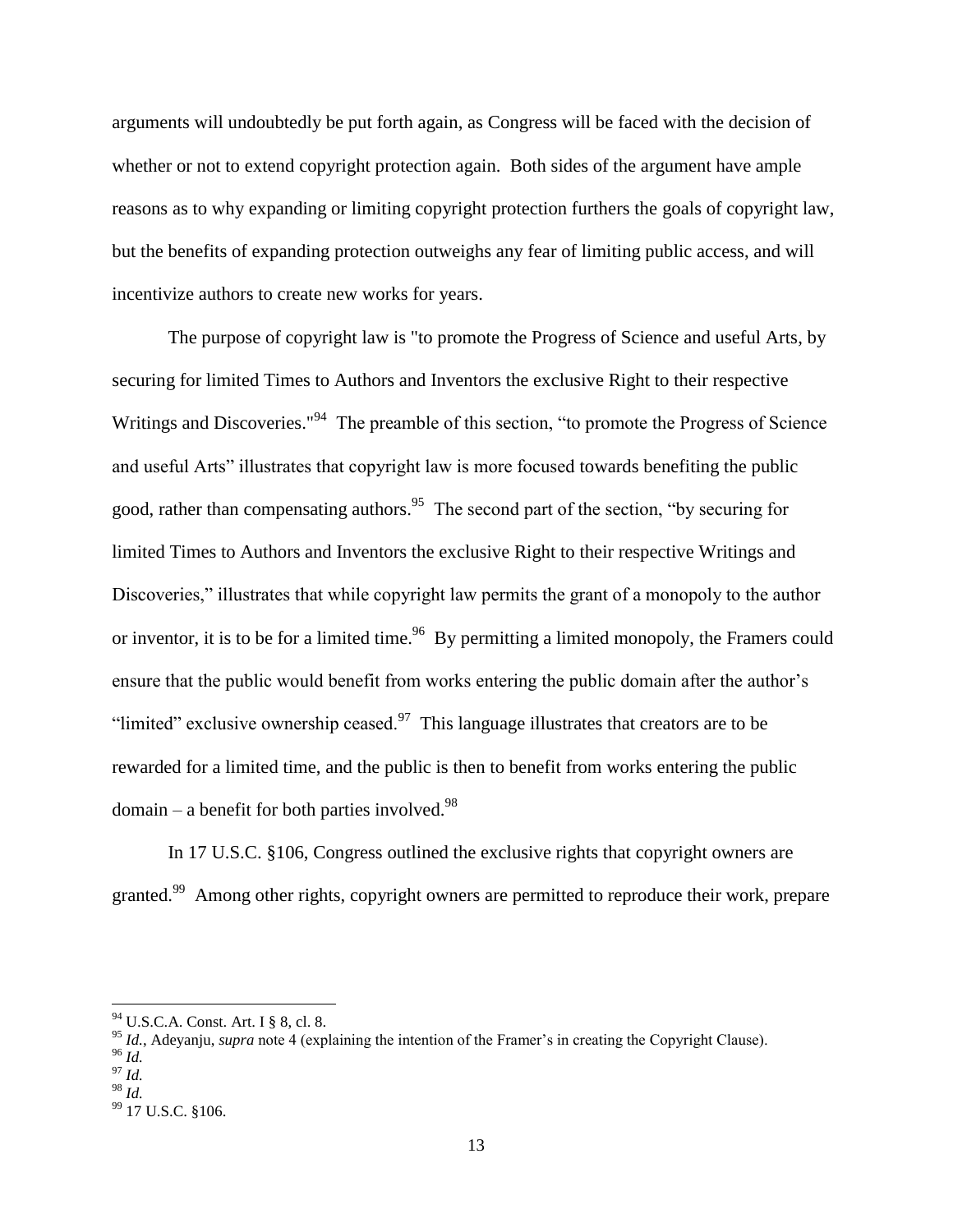arguments will undoubtedly be put forth again, as Congress will be faced with the decision of whether or not to extend copyright protection again. Both sides of the argument have ample reasons as to why expanding or limiting copyright protection furthers the goals of copyright law, but the benefits of expanding protection outweighs any fear of limiting public access, and will incentivize authors to create new works for years.

The purpose of copyright law is "to promote the Progress of Science and useful Arts, by securing for limited Times to Authors and Inventors the exclusive Right to their respective Writings and Discoveries."<sup>94</sup> The preamble of this section, "to promote the Progress of Science and useful Arts" illustrates that copyright law is more focused towards benefiting the public good, rather than compensating authors.<sup>95</sup> The second part of the section, "by securing for limited Times to Authors and Inventors the exclusive Right to their respective Writings and Discoveries," illustrates that while copyright law permits the grant of a monopoly to the author or inventor, it is to be for a limited time.<sup>96</sup> By permitting a limited monopoly, the Framers could ensure that the public would benefit from works entering the public domain after the author's "limited" exclusive ownership ceased. $97$  This language illustrates that creators are to be rewarded for a limited time, and the public is then to benefit from works entering the public  $domain - a benefit for both parties involved.<sup>98</sup>$ 

In 17 U.S.C. §106, Congress outlined the exclusive rights that copyright owners are granted.<sup>99</sup> Among other rights, copyright owners are permitted to reproduce their work, prepare

 $\overline{a}$ 

<sup>98</sup> *Id.* 

<sup>94</sup> U.S.C.A. Const. Art. I § 8, cl. 8.

<sup>&</sup>lt;sup>95</sup> *Id.*, Adevaniu, *supra* note 4 (explaining the intention of the Framer's in creating the Copyright Clause).

<sup>96</sup> *Id.*

 $^{97}$  *Id.* 

 $99$  17 U.S.C. §106.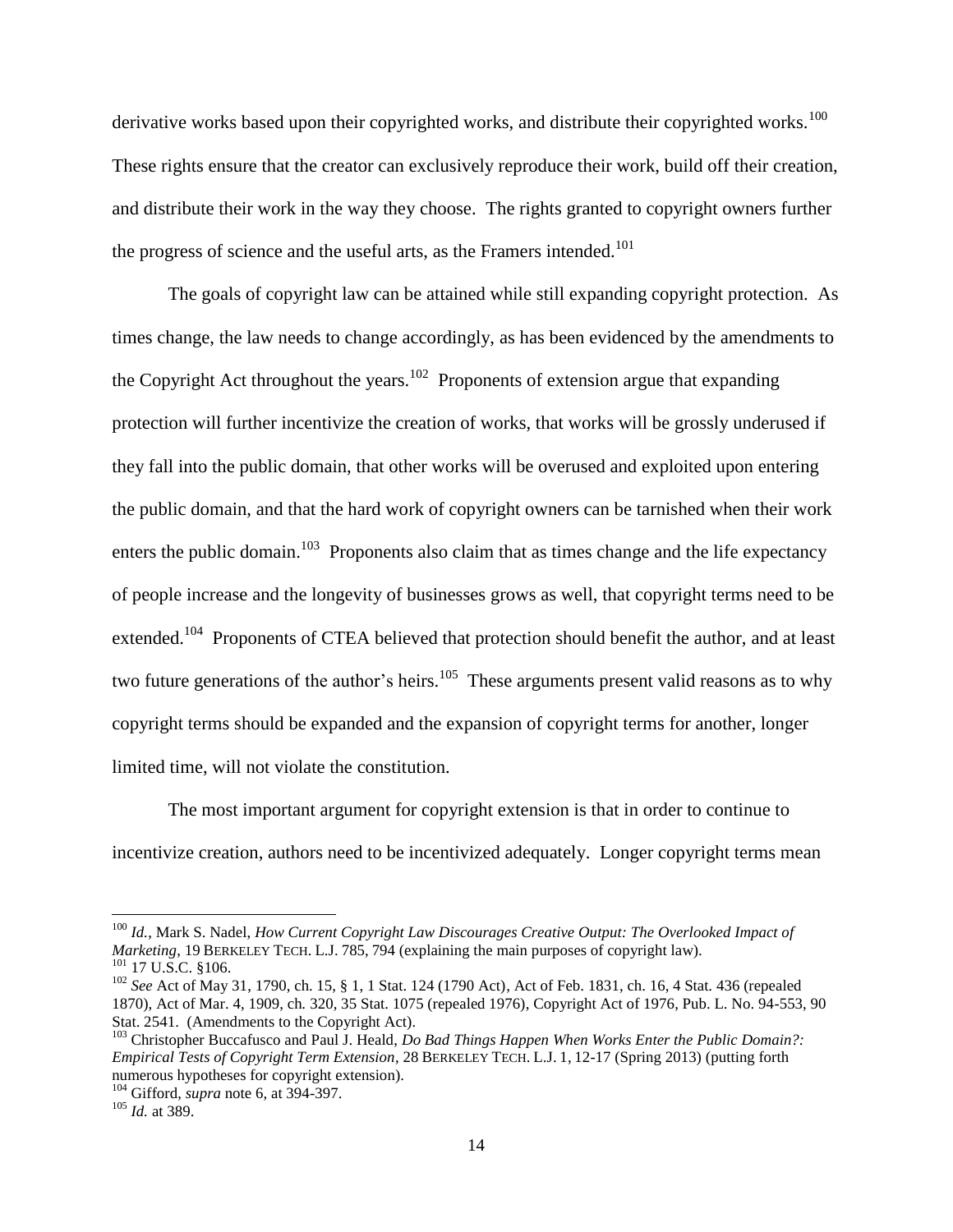derivative works based upon their copyrighted works, and distribute their copyrighted works.<sup>100</sup> These rights ensure that the creator can exclusively reproduce their work, build off their creation, and distribute their work in the way they choose. The rights granted to copyright owners further the progress of science and the useful arts, as the Framers intended.<sup>101</sup>

The goals of copyright law can be attained while still expanding copyright protection. As times change, the law needs to change accordingly, as has been evidenced by the amendments to the Copyright Act throughout the years.<sup>102</sup> Proponents of extension argue that expanding protection will further incentivize the creation of works, that works will be grossly underused if they fall into the public domain, that other works will be overused and exploited upon entering the public domain, and that the hard work of copyright owners can be tarnished when their work enters the public domain.<sup>103</sup> Proponents also claim that as times change and the life expectancy of people increase and the longevity of businesses grows as well, that copyright terms need to be extended.<sup>104</sup> Proponents of CTEA believed that protection should benefit the author, and at least two future generations of the author's heirs.<sup>105</sup> These arguments present valid reasons as to why copyright terms should be expanded and the expansion of copyright terms for another, longer limited time, will not violate the constitution.

The most important argument for copyright extension is that in order to continue to incentivize creation, authors need to be incentivized adequately. Longer copyright terms mean

<sup>100</sup> *Id.*, Mark S. Nadel, *How Current Copyright Law Discourages Creative Output: The Overlooked Impact of Marketing*, 19 BERKELEY TECH. L.J. 785, 794 (explaining the main purposes of copyright law).  $101$  17 U.S.C. §106.

<sup>102</sup> *See* Act of May 31, 1790, ch. 15, § 1, 1 Stat. 124 (1790 Act), Act of Feb. 1831, ch. 16, 4 Stat. 436 (repealed 1870), Act of Mar. 4, 1909, ch. 320, 35 Stat. 1075 (repealed 1976), Copyright Act of 1976, Pub. L. No. 94-553, 90 Stat. 2541. (Amendments to the Copyright Act).

<sup>103</sup> Christopher Buccafusco and Paul J. Heald, *Do Bad Things Happen When Works Enter the Public Domain?: Empirical Tests of Copyright Term Extension*, 28 BERKELEY TECH. L.J. 1, 12-17 (Spring 2013) (putting forth numerous hypotheses for copyright extension).

<sup>104</sup> Gifford, *supra* note 6, at 394-397.

<sup>105</sup> *Id.* at 389.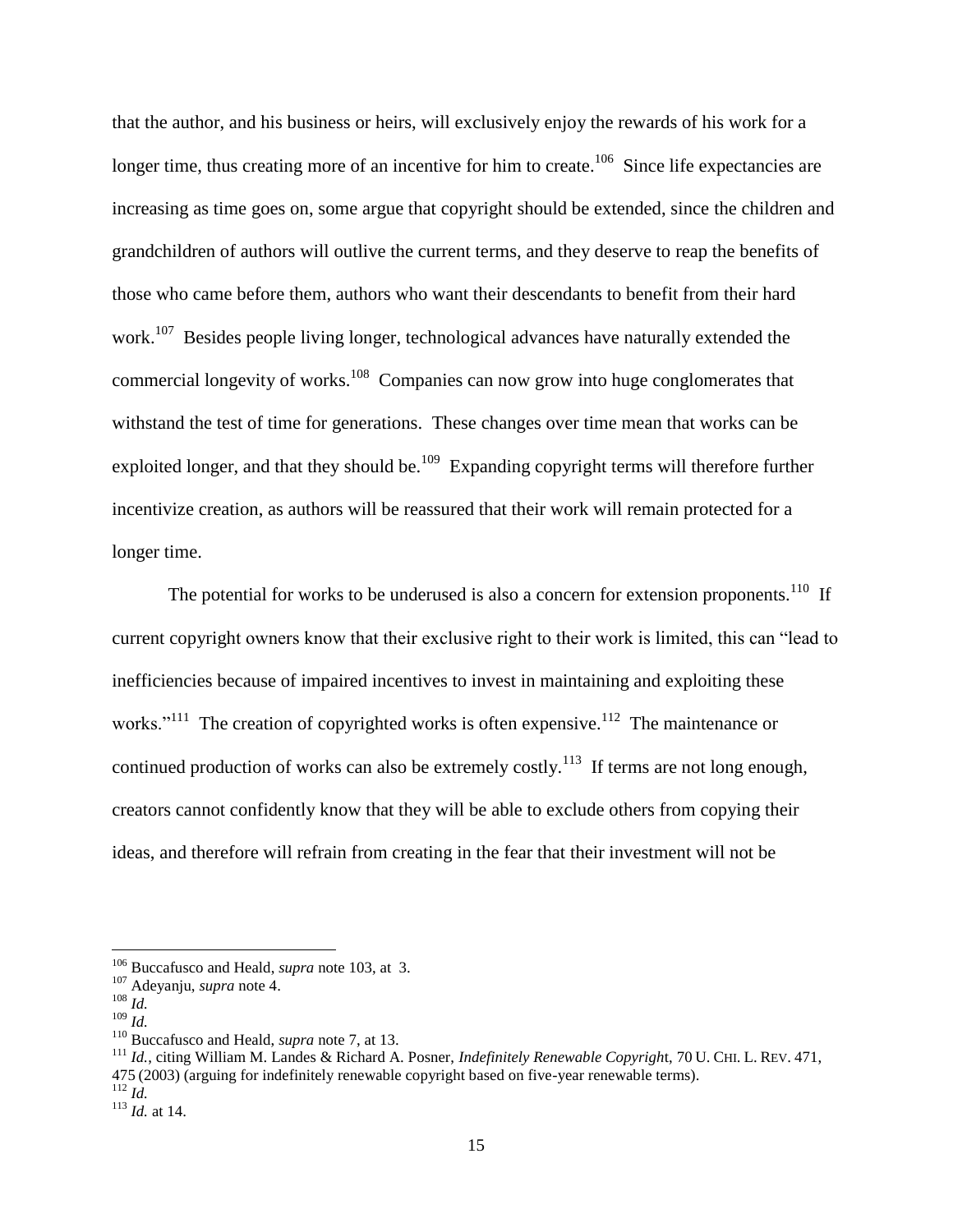that the author, and his business or heirs, will exclusively enjoy the rewards of his work for a longer time, thus creating more of an incentive for him to create.<sup>106</sup> Since life expectancies are increasing as time goes on, some argue that copyright should be extended, since the children and grandchildren of authors will outlive the current terms, and they deserve to reap the benefits of those who came before them, authors who want their descendants to benefit from their hard work.<sup>107</sup> Besides people living longer, technological advances have naturally extended the commercial longevity of works.<sup>108</sup> Companies can now grow into huge conglomerates that withstand the test of time for generations. These changes over time mean that works can be exploited longer, and that they should be.<sup>109</sup> Expanding copyright terms will therefore further incentivize creation, as authors will be reassured that their work will remain protected for a longer time.

The potential for works to be underused is also a concern for extension proponents.<sup>110</sup> If current copyright owners know that their exclusive right to their work is limited, this can "lead to inefficiencies because of impaired incentives to invest in maintaining and exploiting these works."<sup>111</sup> The creation of copyrighted works is often expensive.<sup>112</sup> The maintenance or continued production of works can also be extremely costly.<sup>113</sup> If terms are not long enough, creators cannot confidently know that they will be able to exclude others from copying their ideas, and therefore will refrain from creating in the fear that their investment will not be

 $\overline{a}$ 

<sup>111</sup> *Id.*, citing William M. Landes & Richard A. Posner, *Indefinitely Renewable Copyrigh*t, 70 U. CHI. L. REV. 471, 475 (2003) (arguing for indefinitely renewable copyright based on five-year renewable terms).

<sup>106</sup> Buccafusco and Heald, *supra* note 103, at 3.

<sup>107</sup> Adeyanju, *supra* note 4.

<sup>108</sup> *Id.*

<sup>109</sup> *Id.*

<sup>110</sup> Buccafusco and Heald, *supra* note 7, at 13.

<sup>112</sup> *Id.*

<sup>113</sup> *Id.* at 14.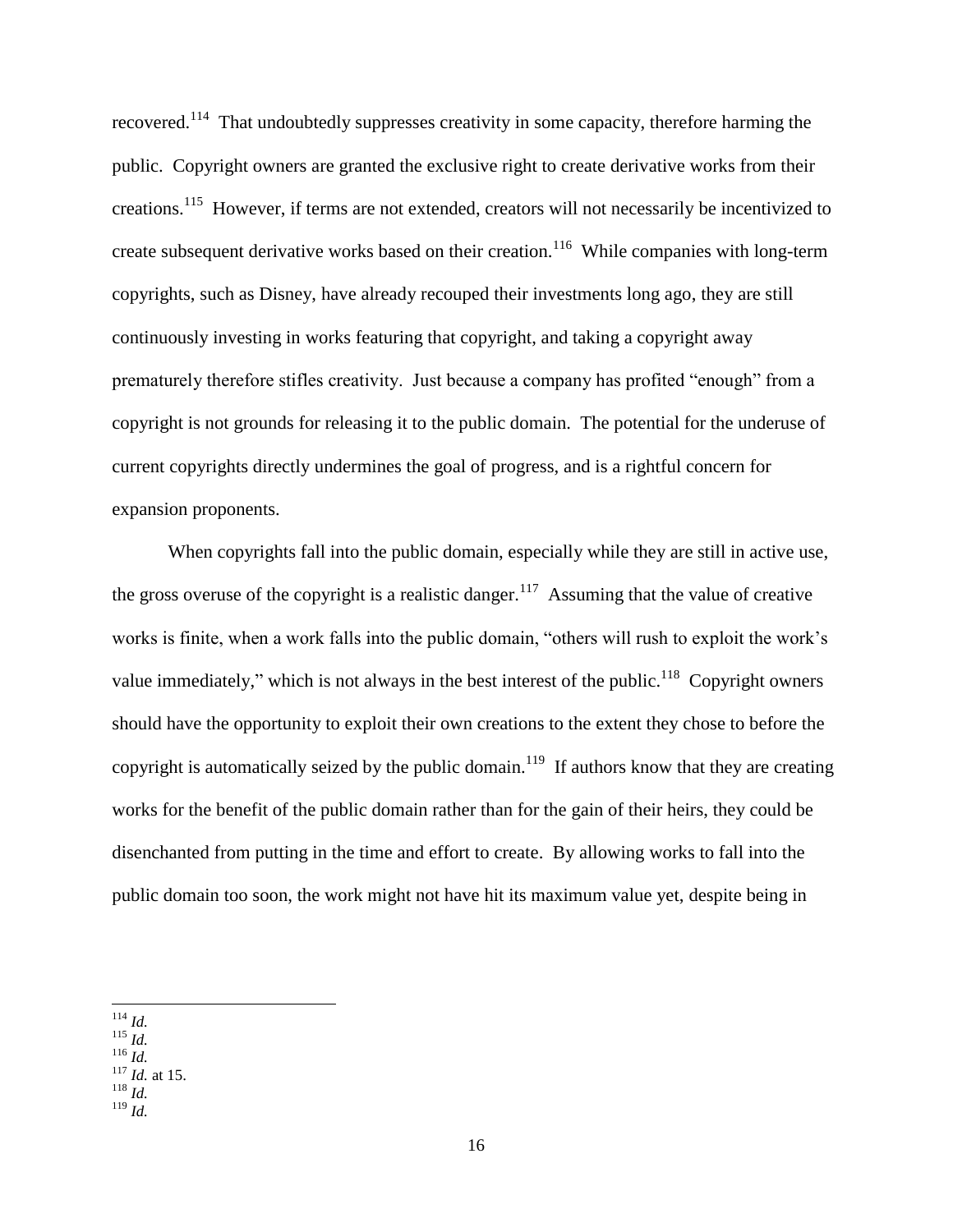recovered.<sup>114</sup> That undoubtedly suppresses creativity in some capacity, therefore harming the public. Copyright owners are granted the exclusive right to create derivative works from their creations.<sup>115</sup> However, if terms are not extended, creators will not necessarily be incentivized to create subsequent derivative works based on their creation.<sup>116</sup> While companies with long-term copyrights, such as Disney, have already recouped their investments long ago, they are still continuously investing in works featuring that copyright, and taking a copyright away prematurely therefore stifles creativity. Just because a company has profited "enough" from a copyright is not grounds for releasing it to the public domain. The potential for the underuse of current copyrights directly undermines the goal of progress, and is a rightful concern for expansion proponents.

When copyrights fall into the public domain, especially while they are still in active use, the gross overuse of the copyright is a realistic danger.<sup>117</sup> Assuming that the value of creative works is finite, when a work falls into the public domain, "others will rush to exploit the work's value immediately," which is not always in the best interest of the public.<sup>118</sup> Copyright owners should have the opportunity to exploit their own creations to the extent they chose to before the copyright is automatically seized by the public domain.<sup>119</sup> If authors know that they are creating works for the benefit of the public domain rather than for the gain of their heirs, they could be disenchanted from putting in the time and effort to create. By allowing works to fall into the public domain too soon, the work might not have hit its maximum value yet, despite being in

 $\overline{a}$ <sup>114</sup> *Id.* 

- <sup>115</sup> *Id.*
- <sup>116</sup> *Id.*
- <sup>117</sup> *Id.* at 15.
- <sup>118</sup> *Id.* <sup>119</sup> *Id.*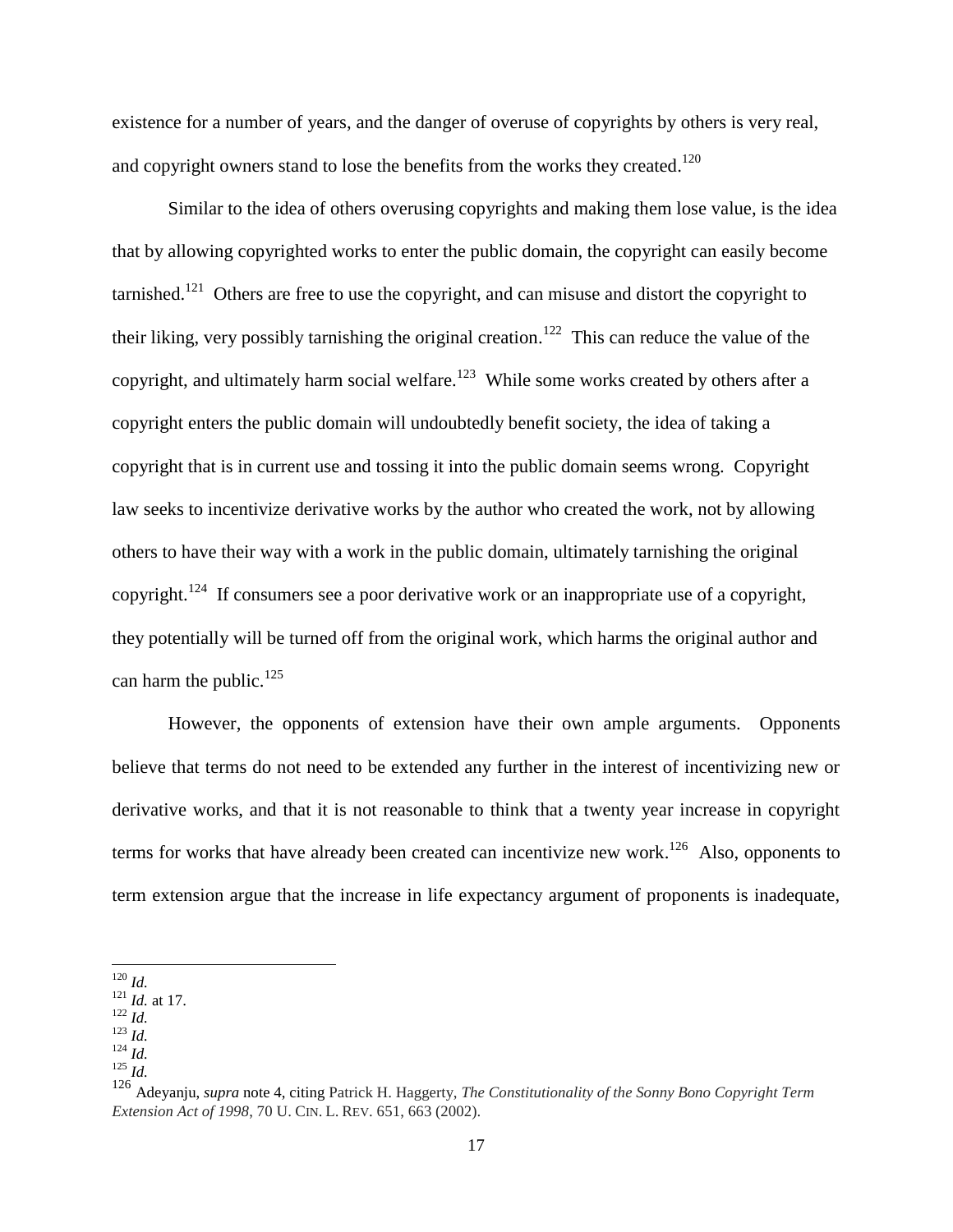existence for a number of years, and the danger of overuse of copyrights by others is very real, and copyright owners stand to lose the benefits from the works they created.<sup>120</sup>

Similar to the idea of others overusing copyrights and making them lose value, is the idea that by allowing copyrighted works to enter the public domain, the copyright can easily become tarnished.<sup>121</sup> Others are free to use the copyright, and can misuse and distort the copyright to their liking, very possibly tarnishing the original creation.<sup>122</sup> This can reduce the value of the copyright, and ultimately harm social welfare.<sup>123</sup> While some works created by others after a copyright enters the public domain will undoubtedly benefit society, the idea of taking a copyright that is in current use and tossing it into the public domain seems wrong. Copyright law seeks to incentivize derivative works by the author who created the work, not by allowing others to have their way with a work in the public domain, ultimately tarnishing the original copyright.<sup>124</sup> If consumers see a poor derivative work or an inappropriate use of a copyright, they potentially will be turned off from the original work, which harms the original author and can harm the public.<sup>125</sup>

However, the opponents of extension have their own ample arguments. Opponents believe that terms do not need to be extended any further in the interest of incentivizing new or derivative works, and that it is not reasonable to think that a twenty year increase in copyright terms for works that have already been created can incentivize new work.<sup>126</sup> Also, opponents to term extension argue that the increase in life expectancy argument of proponents is inadequate,

 $\overline{a}$ 

 $124 \overline{1}$ *Id.*  $125$  *Id.* 

<sup>120</sup> *Id.*

<sup>121</sup> *Id.* at 17.

 $122 \frac{1}{1}$ 

<sup>123</sup> *Id.* 

<sup>126</sup> Adeyanju, *supra* note 4, citing Patrick H. Haggerty, *The Constitutionality of the Sonny Bono Copyright Term Extension Act of 1998*, 70 U. CIN. L. REV. 651, 663 (2002).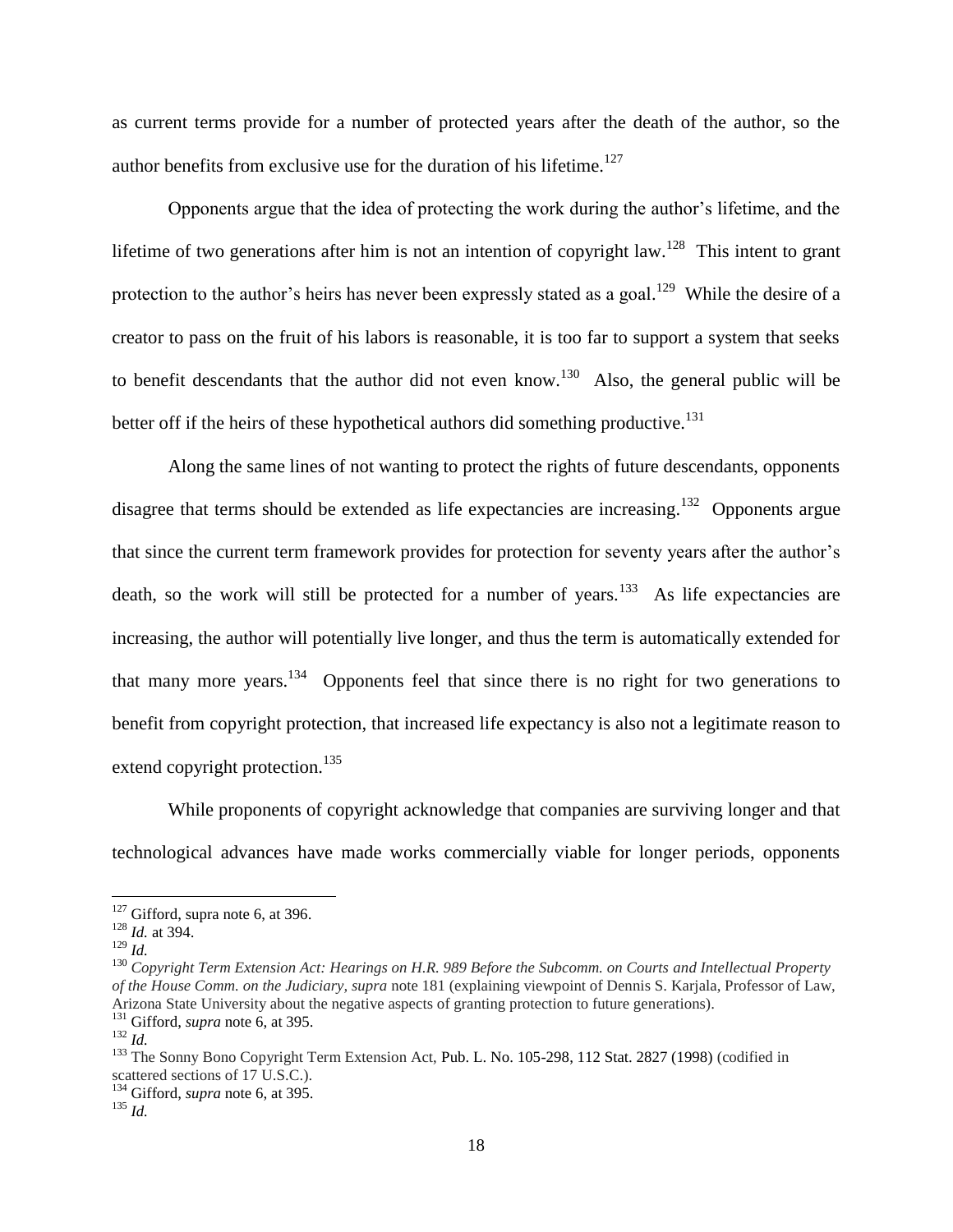as current terms provide for a number of protected years after the death of the author, so the author benefits from exclusive use for the duration of his lifetime.<sup>127</sup>

Opponents argue that the idea of protecting the work during the author's lifetime, and the lifetime of two generations after him is not an intention of copyright law.<sup>128</sup> This intent to grant protection to the author's heirs has never been expressly stated as a goal.<sup>129</sup> While the desire of a creator to pass on the fruit of his labors is reasonable, it is too far to support a system that seeks to benefit descendants that the author did not even know.<sup>130</sup> Also, the general public will be better off if the heirs of these hypothetical authors did something productive.<sup>131</sup>

Along the same lines of not wanting to protect the rights of future descendants, opponents disagree that terms should be extended as life expectancies are increasing.<sup>132</sup> Opponents argue that since the current term framework provides for protection for seventy years after the author's death, so the work will still be protected for a number of years.<sup>133</sup> As life expectancies are increasing, the author will potentially live longer, and thus the term is automatically extended for that many more years.<sup>134</sup> Opponents feel that since there is no right for two generations to benefit from copyright protection, that increased life expectancy is also not a legitimate reason to extend copyright protection.<sup>135</sup>

While proponents of copyright acknowledge that companies are surviving longer and that technological advances have made works commercially viable for longer periods, opponents

 $127$  Gifford, supra note 6, at 396.

<sup>128</sup> *Id.* at 394.

<sup>129</sup> *Id.* 

<sup>130</sup> *Copyright Term Extension Act: Hearings on H.R. 989 Before the Subcomm. on Courts and Intellectual Property of the House Comm. on the Judiciary, supra* note 181 (explaining viewpoint of Dennis S. Karjala, Professor of Law, Arizona State University about the negative aspects of granting protection to future generations).

<sup>131</sup> Gifford, *supra* note 6, at 395.

<sup>132</sup> *Id.*

<sup>&</sup>lt;sup>133</sup> The Sonny Bono Copyright Term Extension Act, Pub. L. No. 105-298, 112 Stat. 2827 (1998) (codified in scattered sections of 17 U.S.C.).

<sup>134</sup> Gifford, *supra* note 6, at 395.

<sup>135</sup> *Id.*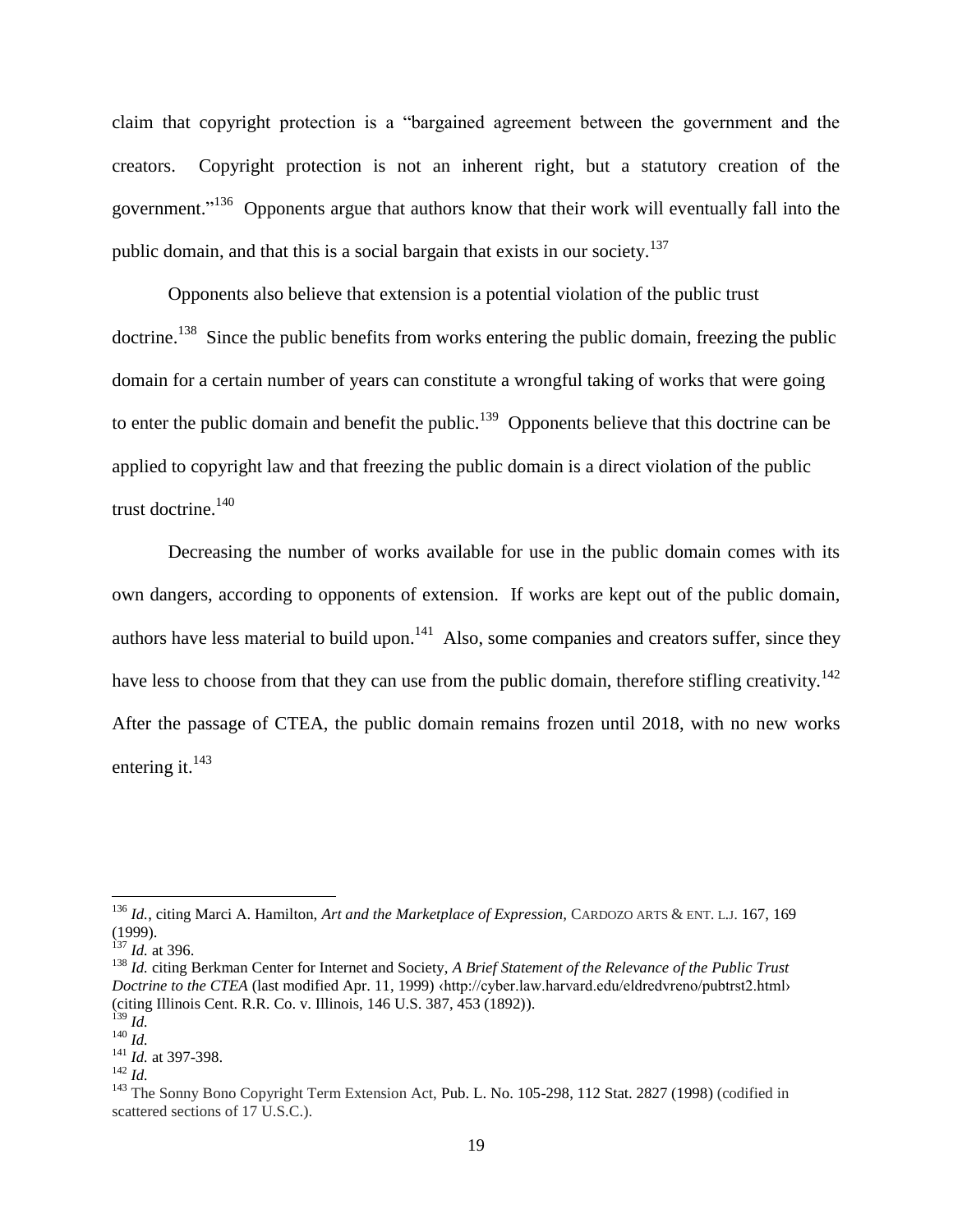claim that copyright protection is a "bargained agreement between the government and the creators. Copyright protection is not an inherent right, but a statutory creation of the government."<sup>136</sup> Opponents argue that authors know that their work will eventually fall into the public domain, and that this is a social bargain that exists in our society.<sup>137</sup>

Opponents also believe that extension is a potential violation of the public trust doctrine.<sup>138</sup> Since the public benefits from works entering the public domain, freezing the public domain for a certain number of years can constitute a wrongful taking of works that were going to enter the public domain and benefit the public.<sup>139</sup> Opponents believe that this doctrine can be applied to copyright law and that freezing the public domain is a direct violation of the public trust doctrine.<sup>140</sup>

Decreasing the number of works available for use in the public domain comes with its own dangers, according to opponents of extension. If works are kept out of the public domain, authors have less material to build upon.<sup>141</sup> Also, some companies and creators suffer, since they have less to choose from that they can use from the public domain, therefore stifling creativity.<sup>142</sup> After the passage of CTEA, the public domain remains frozen until 2018, with no new works entering it.<sup>143</sup>

<sup>136</sup> *Id.*, citing Marci A. Hamilton, *Art and the Marketplace of Expression,* CARDOZO ARTS & ENT. <sup>L</sup>.J. 167, 169 (1999).

 $^{137}$  *Id.* at 396.

<sup>138</sup> *Id.* citing Berkman Center for Internet and Society, *A Brief Statement of the Relevance of the Public Trust Doctrine to the CTEA* (last modified Apr. 11, 1999) ‹http://cyber.law.harvard.edu/eldredvreno/pubtrst2.html› (citing Illinois Cent. R.R. Co. v. Illinois, 146 U.S. 387, 453 (1892)).

 $^{139}$  *Id.* 

<sup>140</sup> *Id.*

<sup>141</sup> *Id.* at 397-398.

<sup>142</sup> *Id.*

<sup>&</sup>lt;sup>143</sup> The Sonny Bono Copyright Term Extension Act, Pub. L. No. 105-298, 112 Stat. 2827 (1998) (codified in scattered sections of 17 U.S.C.).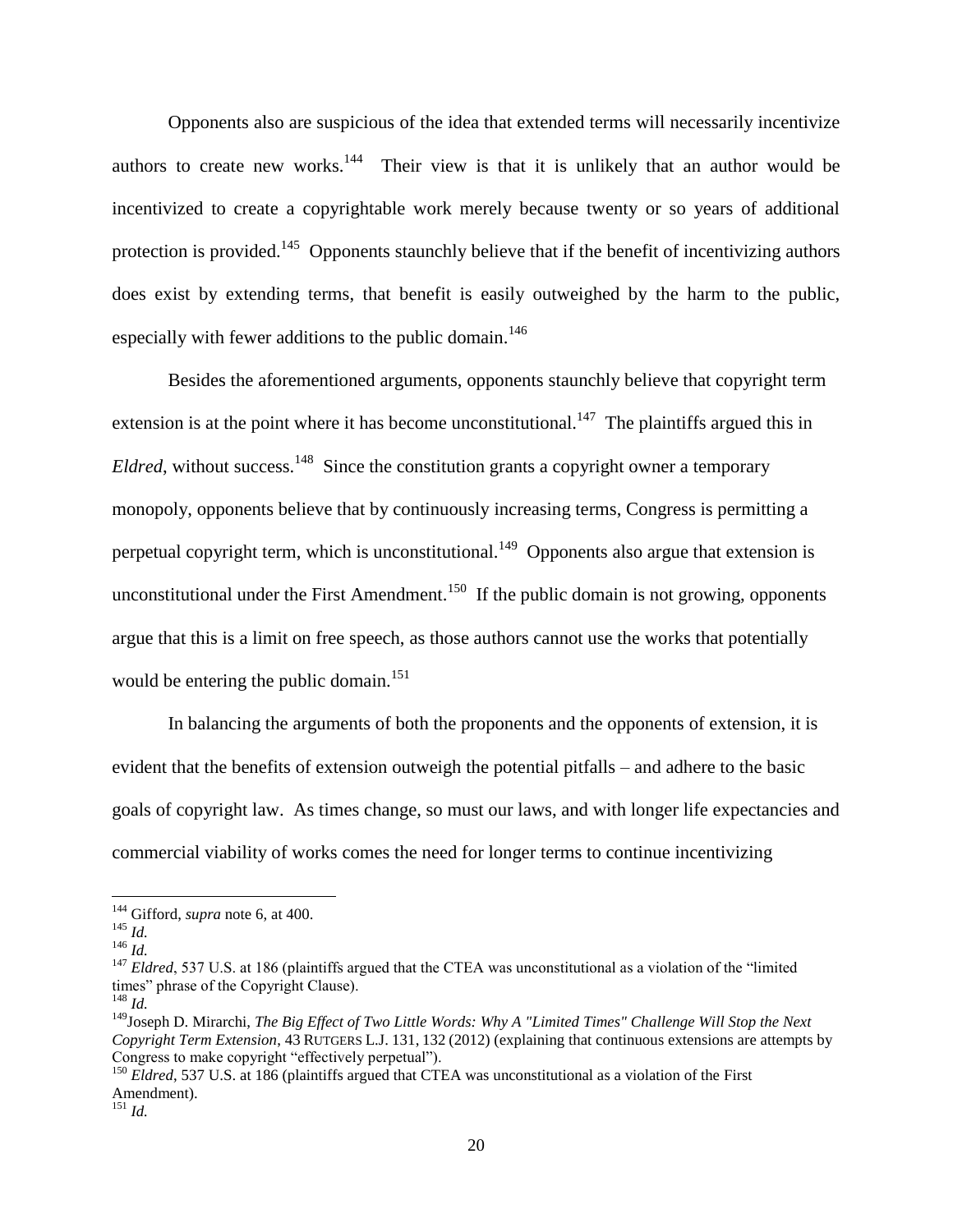Opponents also are suspicious of the idea that extended terms will necessarily incentivize authors to create new works.<sup>144</sup> Their view is that it is unlikely that an author would be incentivized to create a copyrightable work merely because twenty or so years of additional protection is provided.<sup>145</sup> Opponents staunchly believe that if the benefit of incentivizing authors does exist by extending terms, that benefit is easily outweighed by the harm to the public, especially with fewer additions to the public domain.<sup>146</sup>

Besides the aforementioned arguments, opponents staunchly believe that copyright term extension is at the point where it has become unconstitutional.<sup>147</sup> The plaintiffs argued this in *Eldred*, without success.<sup>148</sup> Since the constitution grants a copyright owner a temporary monopoly, opponents believe that by continuously increasing terms, Congress is permitting a perpetual copyright term, which is unconstitutional.<sup>149</sup> Opponents also argue that extension is unconstitutional under the First Amendment.<sup>150</sup> If the public domain is not growing, opponents argue that this is a limit on free speech, as those authors cannot use the works that potentially would be entering the public domain.<sup>151</sup>

In balancing the arguments of both the proponents and the opponents of extension, it is evident that the benefits of extension outweigh the potential pitfalls – and adhere to the basic goals of copyright law. As times change, so must our laws, and with longer life expectancies and commercial viability of works comes the need for longer terms to continue incentivizing

<sup>144</sup> Gifford, *supra* note 6, at 400.

<sup>145</sup> *Id.*

<sup>146</sup> *Id.* 

<sup>&</sup>lt;sup>147</sup> *Eldred*, 537 U.S. at 186 (plaintiffs argued that the CTEA was unconstitutional as a violation of the "limited" times" phrase of the Copyright Clause).

<sup>148</sup> *Id.*

<sup>149</sup>Joseph D. Mirarchi, *The Big Effect of Two Little Words: Why A "Limited Times" Challenge Will Stop the Next Copyright Term Extension*, 43 RUTGERS L.J. 131, 132 (2012) (explaining that continuous extensions are attempts by Congress to make copyright "effectively perpetual").

<sup>&</sup>lt;sup>150</sup> Eldred, 537 U.S. at 186 (plaintiffs argued that CTEA was unconstitutional as a violation of the First Amendment).

<sup>151</sup> *Id.*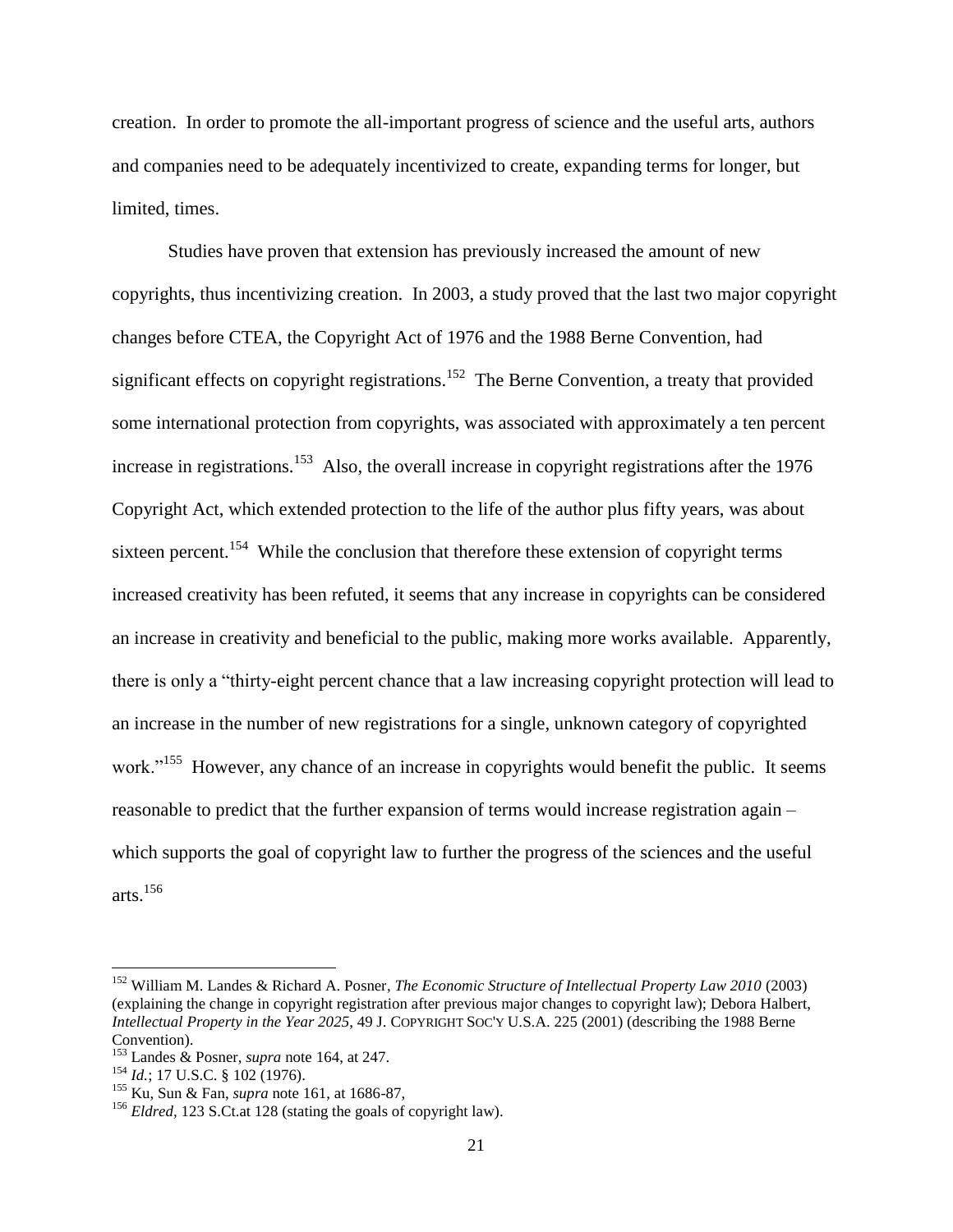creation. In order to promote the all-important progress of science and the useful arts, authors and companies need to be adequately incentivized to create, expanding terms for longer, but limited, times.

Studies have proven that extension has previously increased the amount of new copyrights, thus incentivizing creation. In 2003, a study proved that the last two major copyright changes before CTEA, the Copyright Act of 1976 and the 1988 Berne Convention, had significant effects on copyright registrations.<sup>152</sup> The Berne Convention, a treaty that provided some international protection from copyrights, was associated with approximately a ten percent increase in registrations.<sup>153</sup> Also, the overall increase in copyright registrations after the 1976 Copyright Act, which extended protection to the life of the author plus fifty years, was about sixteen percent.<sup>154</sup> While the conclusion that therefore these extension of copyright terms increased creativity has been refuted, it seems that any increase in copyrights can be considered an increase in creativity and beneficial to the public, making more works available. Apparently, there is only a "thirty-eight percent chance that a law increasing copyright protection will lead to an increase in the number of new registrations for a single, unknown category of copyrighted work."<sup>155</sup> However, any chance of an increase in copyrights would benefit the public. It seems reasonable to predict that the further expansion of terms would increase registration again – which supports the goal of copyright law to further the progress of the sciences and the useful arts. $156$ 

<sup>152</sup> William M. Landes & Richard A. Posner, *The Economic Structure of Intellectual Property Law 2010* (2003) (explaining the change in copyright registration after previous major changes to copyright law); Debora Halbert, *Intellectual Property in the Year 2025*, 49 J. COPYRIGHT SOC'Y U.S.A. 225 (2001) (describing the 1988 Berne Convention).

<sup>153</sup> Landes & Posner, *supra* note 164, at 247.

<sup>154</sup> *Id.*; 17 U.S.C. § 102 (1976).

<sup>155</sup> Ku, Sun & Fan, *supra* note 161, at 1686-87,

<sup>156</sup> *Eldred,* 123 S.Ct.at 128 (stating the goals of copyright law).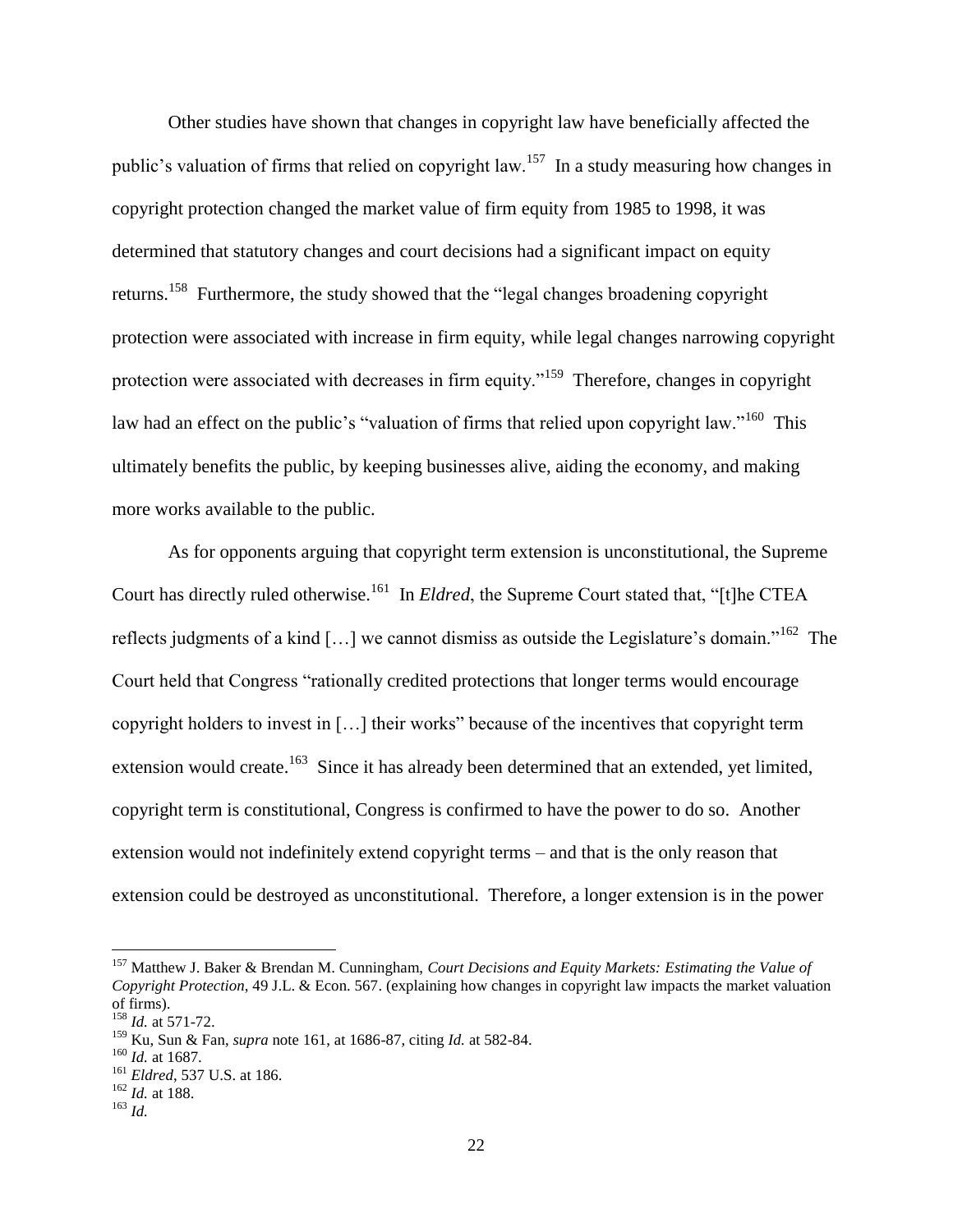Other studies have shown that changes in copyright law have beneficially affected the public's valuation of firms that relied on copyright law.<sup>157</sup> In a study measuring how changes in copyright protection changed the market value of firm equity from 1985 to 1998, it was determined that statutory changes and court decisions had a significant impact on equity returns.<sup>158</sup> Furthermore, the study showed that the "legal changes broadening copyright protection were associated with increase in firm equity, while legal changes narrowing copyright protection were associated with decreases in firm equity."<sup>159</sup> Therefore, changes in copyright law had an effect on the public's "valuation of firms that relied upon copyright law."<sup>160</sup> This ultimately benefits the public, by keeping businesses alive, aiding the economy, and making more works available to the public.

As for opponents arguing that copyright term extension is unconstitutional, the Supreme Court has directly ruled otherwise.<sup>161</sup> In *Eldred*, the Supreme Court stated that, "[t]he CTEA reflects judgments of a kind [ $\dots$ ] we cannot dismiss as outside the Legislature's domain."<sup>162</sup> The Court held that Congress "rationally credited protections that longer terms would encourage copyright holders to invest in […] their works" because of the incentives that copyright term extension would create.<sup>163</sup> Since it has already been determined that an extended, yet limited, copyright term is constitutional, Congress is confirmed to have the power to do so. Another extension would not indefinitely extend copyright terms – and that is the only reason that extension could be destroyed as unconstitutional. Therefore, a longer extension is in the power

<sup>157</sup> Matthew J. Baker & Brendan M. Cunningham, *Court Decisions and Equity Markets: Estimating the Value of Copyright Protection*, 49 J.L. & Econ. 567. (explaining how changes in copyright law impacts the market valuation of firms).

<sup>158</sup> *Id.* at 571-72.

<sup>159</sup> Ku, Sun & Fan, *supra* note 161, at 1686-87, citing *Id.* at 582-84.

<sup>160</sup> *Id.* at 1687.

<sup>161</sup> *Eldred*, 537 U.S. at 186.

<sup>162</sup> *Id.* at 188.

<sup>163</sup> *Id.*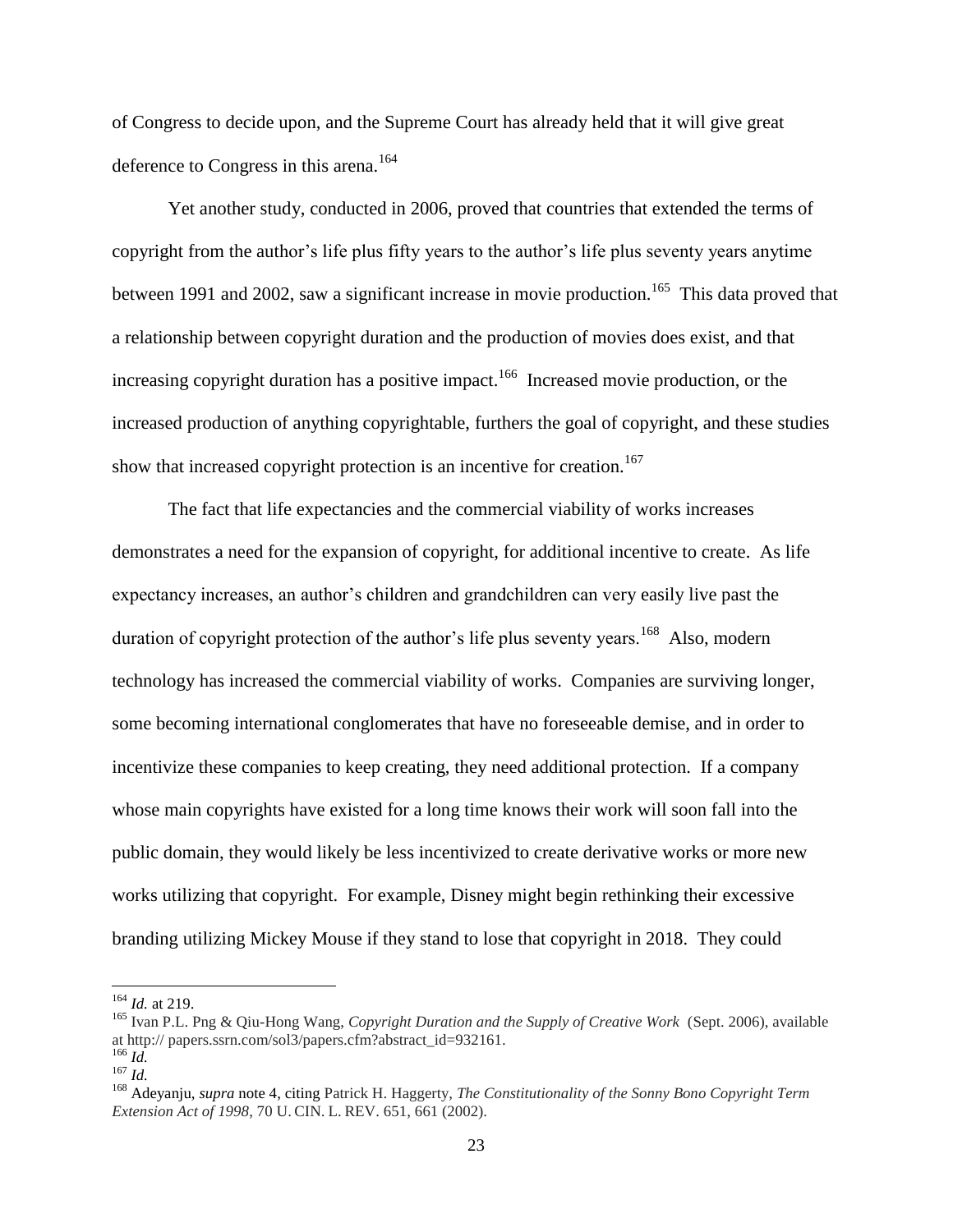of Congress to decide upon, and the Supreme Court has already held that it will give great deference to Congress in this arena.<sup>164</sup>

Yet another study, conducted in 2006, proved that countries that extended the terms of copyright from the author's life plus fifty years to the author's life plus seventy years anytime between 1991 and 2002, saw a significant increase in movie production.<sup>165</sup> This data proved that a relationship between copyright duration and the production of movies does exist, and that increasing copyright duration has a positive impact.<sup>166</sup> Increased movie production, or the increased production of anything copyrightable, furthers the goal of copyright, and these studies show that increased copyright protection is an incentive for creation.<sup>167</sup>

The fact that life expectancies and the commercial viability of works increases demonstrates a need for the expansion of copyright, for additional incentive to create. As life expectancy increases, an author's children and grandchildren can very easily live past the duration of copyright protection of the author's life plus seventy years.<sup>168</sup> Also, modern technology has increased the commercial viability of works. Companies are surviving longer, some becoming international conglomerates that have no foreseeable demise, and in order to incentivize these companies to keep creating, they need additional protection. If a company whose main copyrights have existed for a long time knows their work will soon fall into the public domain, they would likely be less incentivized to create derivative works or more new works utilizing that copyright. For example, Disney might begin rethinking their excessive branding utilizing Mickey Mouse if they stand to lose that copyright in 2018. They could

<sup>164</sup> *Id.* at 219.

<sup>165</sup> Ivan P.L. Png & Qiu-Hong Wang, *Copyright Duration and the Supply of Creative Work* (Sept. 2006), available at http:// papers.ssrn.com/sol3/papers.cfm?abstract\_id=932161.

 $^{166}$  *Id.* <sup>167</sup> *Id.*

<sup>168</sup> Adeyanju, *supra* note 4, citing Patrick H. Haggerty, *The Constitutionality of the Sonny Bono Copyright Term Extension Act of 1998*, 70 U. CIN. L. REV. 651, 661 (2002).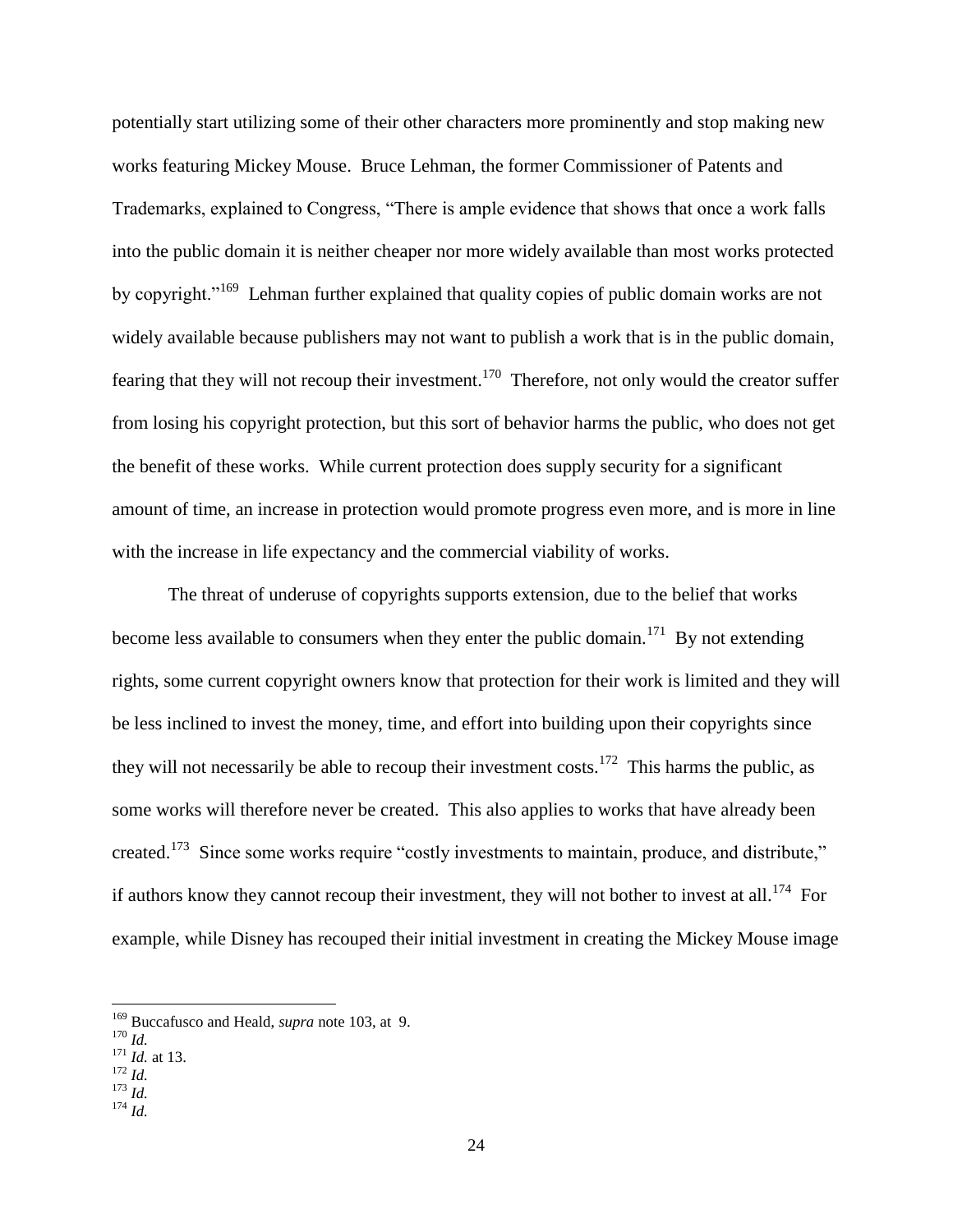potentially start utilizing some of their other characters more prominently and stop making new works featuring Mickey Mouse. Bruce Lehman, the former Commissioner of Patents and Trademarks, explained to Congress, "There is ample evidence that shows that once a work falls into the public domain it is neither cheaper nor more widely available than most works protected by copyright."<sup>169</sup> Lehman further explained that quality copies of public domain works are not widely available because publishers may not want to publish a work that is in the public domain, fearing that they will not recoup their investment.<sup>170</sup> Therefore, not only would the creator suffer from losing his copyright protection, but this sort of behavior harms the public, who does not get the benefit of these works. While current protection does supply security for a significant amount of time, an increase in protection would promote progress even more, and is more in line with the increase in life expectancy and the commercial viability of works.

The threat of underuse of copyrights supports extension, due to the belief that works become less available to consumers when they enter the public domain.<sup>171</sup> By not extending rights, some current copyright owners know that protection for their work is limited and they will be less inclined to invest the money, time, and effort into building upon their copyrights since they will not necessarily be able to recoup their investment costs.<sup>172</sup> This harms the public, as some works will therefore never be created. This also applies to works that have already been created.<sup>173</sup> Since some works require "costly investments to maintain, produce, and distribute," if authors know they cannot recoup their investment, they will not bother to invest at all.<sup>174</sup> For example, while Disney has recouped their initial investment in creating the Mickey Mouse image

 $\overline{a}$ 

<sup>173</sup> *Id.*

<sup>169</sup> Buccafusco and Heald, *supra* note 103, at 9.

<sup>170</sup> *Id.*

<sup>171</sup> *Id.* at 13.

 $^{172}$  *Id.* 

<sup>174</sup> *Id.*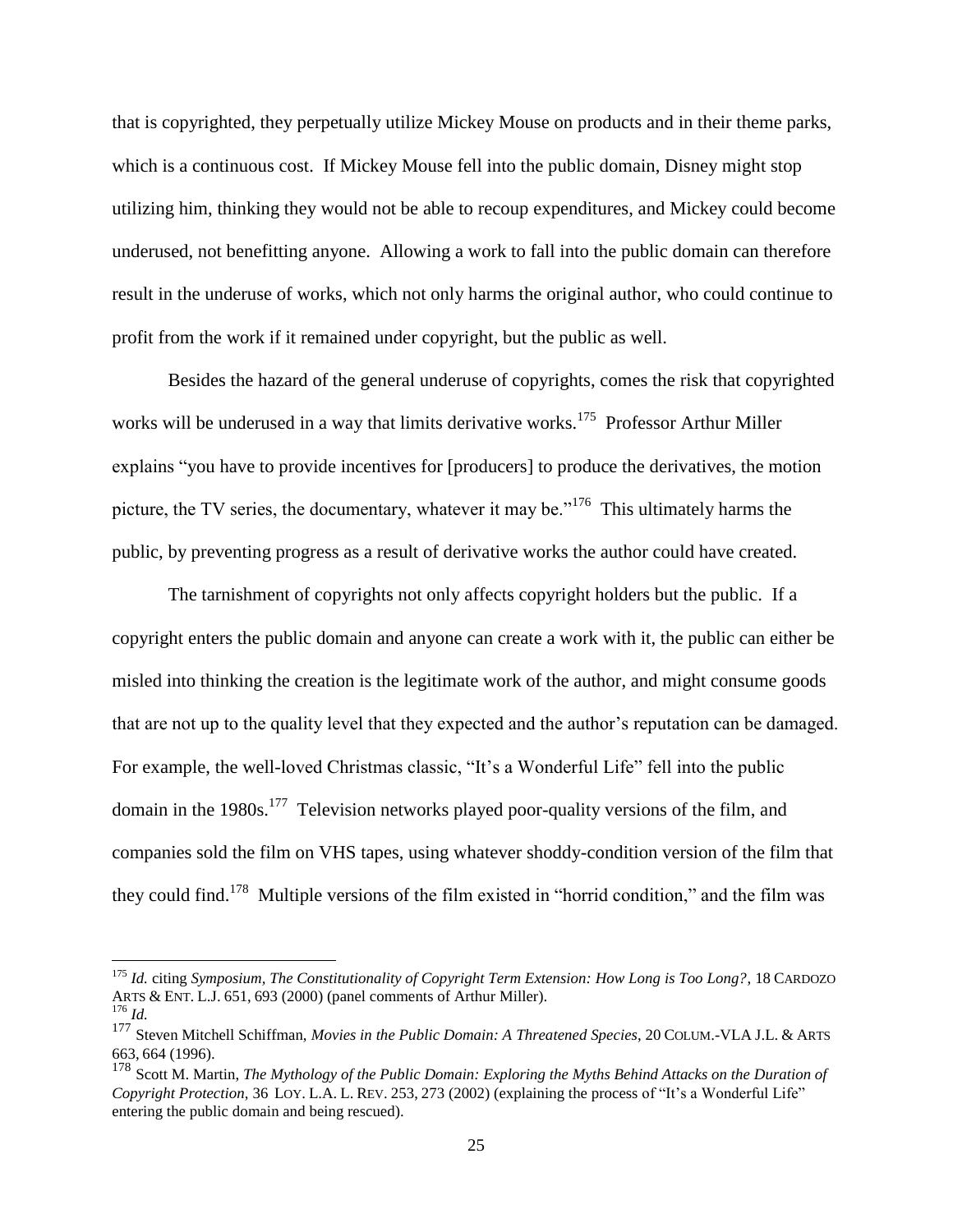that is copyrighted, they perpetually utilize Mickey Mouse on products and in their theme parks, which is a continuous cost. If Mickey Mouse fell into the public domain, Disney might stop utilizing him, thinking they would not be able to recoup expenditures, and Mickey could become underused, not benefitting anyone. Allowing a work to fall into the public domain can therefore result in the underuse of works, which not only harms the original author, who could continue to profit from the work if it remained under copyright, but the public as well.

Besides the hazard of the general underuse of copyrights, comes the risk that copyrighted works will be underused in a way that limits derivative works.<sup>175</sup> Professor Arthur Miller explains "you have to provide incentives for [producers] to produce the derivatives, the motion picture, the TV series, the documentary, whatever it may be."<sup>176</sup> This ultimately harms the public, by preventing progress as a result of derivative works the author could have created.

The tarnishment of copyrights not only affects copyright holders but the public. If a copyright enters the public domain and anyone can create a work with it, the public can either be misled into thinking the creation is the legitimate work of the author, and might consume goods that are not up to the quality level that they expected and the author's reputation can be damaged. For example, the well-loved Christmas classic, "It's a Wonderful Life" fell into the public domain in the 1980s.<sup>177</sup> Television networks played poor-quality versions of the film, and companies sold the film on VHS tapes, using whatever shoddy-condition version of the film that they could find.<sup>178</sup> Multiple versions of the film existed in "horrid condition," and the film was

<sup>175</sup> *Id.* citing *Symposium, The Constitutionality of Copyright Term Extension: How Long is Too Long?*, 18 CARDOZO ARTS & ENT. L.J. 651, 693 (2000) (panel comments of Arthur Miller).

<sup>176</sup> *Id.*

<sup>177</sup> Steven Mitchell Schiffman, *Movies in the Public Domain: A Threatened Species*, 20 COLUM.-VLA J.L. & ARTS 663, 664 (1996).

<sup>178</sup> Scott M. Martin, *The Mythology of the Public Domain: Exploring the Myths Behind Attacks on the Duration of Copyright Protection*, 36 LOY. L.A. L. REV. 253, 273 (2002) (explaining the process of "It's a Wonderful Life" entering the public domain and being rescued).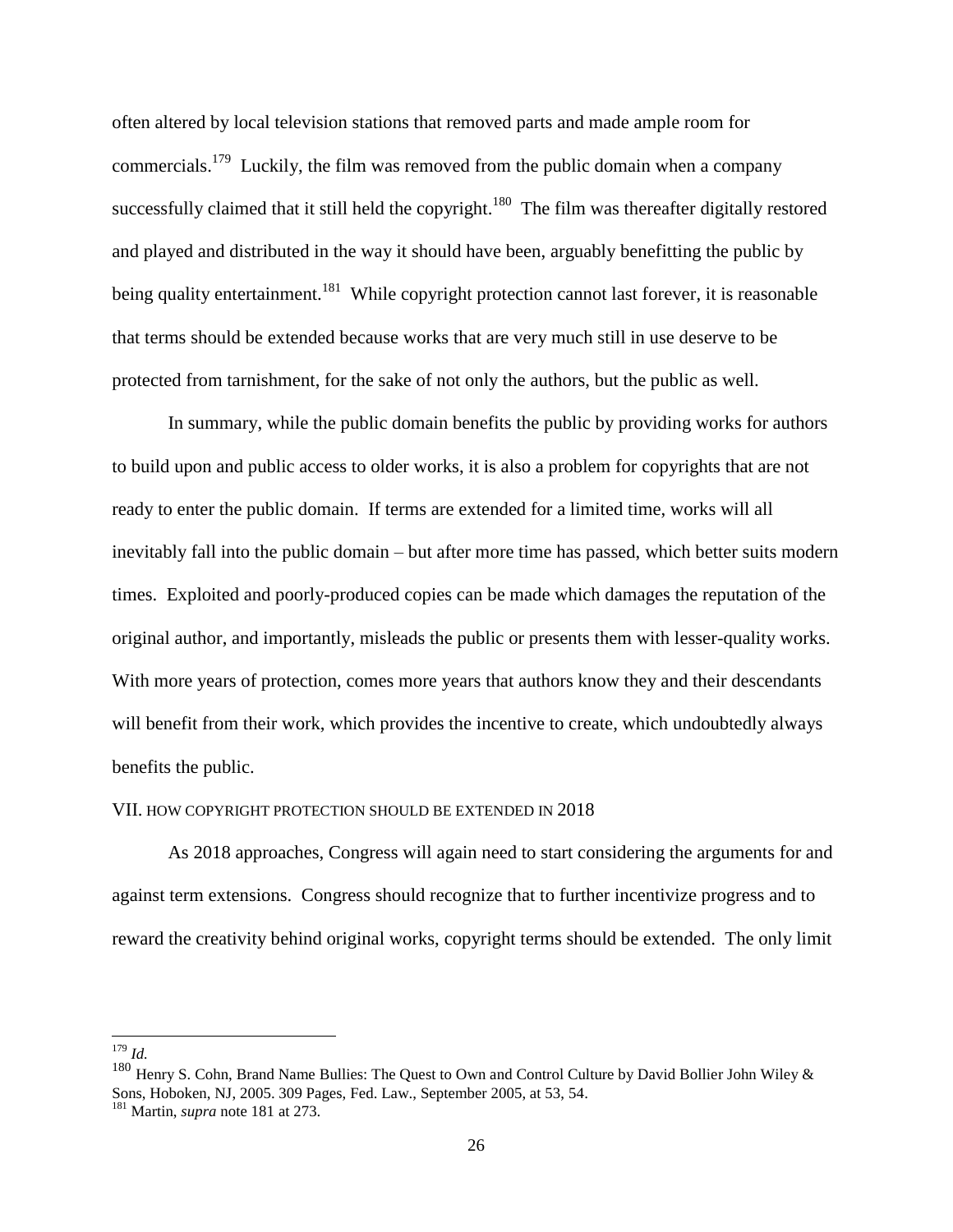often altered by local television stations that removed parts and made ample room for commercials.<sup>179</sup> Luckily, the film was removed from the public domain when a company successfully claimed that it still held the copyright.<sup>180</sup> The film was thereafter digitally restored and played and distributed in the way it should have been, arguably benefitting the public by being quality entertainment.<sup>181</sup> While copyright protection cannot last forever, it is reasonable that terms should be extended because works that are very much still in use deserve to be protected from tarnishment, for the sake of not only the authors, but the public as well.

In summary, while the public domain benefits the public by providing works for authors to build upon and public access to older works, it is also a problem for copyrights that are not ready to enter the public domain. If terms are extended for a limited time, works will all inevitably fall into the public domain – but after more time has passed, which better suits modern times. Exploited and poorly-produced copies can be made which damages the reputation of the original author, and importantly, misleads the public or presents them with lesser-quality works. With more years of protection, comes more years that authors know they and their descendants will benefit from their work, which provides the incentive to create, which undoubtedly always benefits the public.

#### VII. HOW COPYRIGHT PROTECTION SHOULD BE EXTENDED IN 2018

As 2018 approaches, Congress will again need to start considering the arguments for and against term extensions. Congress should recognize that to further incentivize progress and to reward the creativity behind original works, copyright terms should be extended. The only limit

 $\overline{a}$ <sup>179</sup> *Id.*

<sup>180</sup> Henry S. Cohn, Brand Name Bullies: The Quest to Own and Control Culture by David Bollier John Wiley & Sons, Hoboken, NJ, 2005. 309 Pages, Fed. Law., September 2005, at 53, 54.

<sup>181</sup> Martin, *supra* note 181 at 273.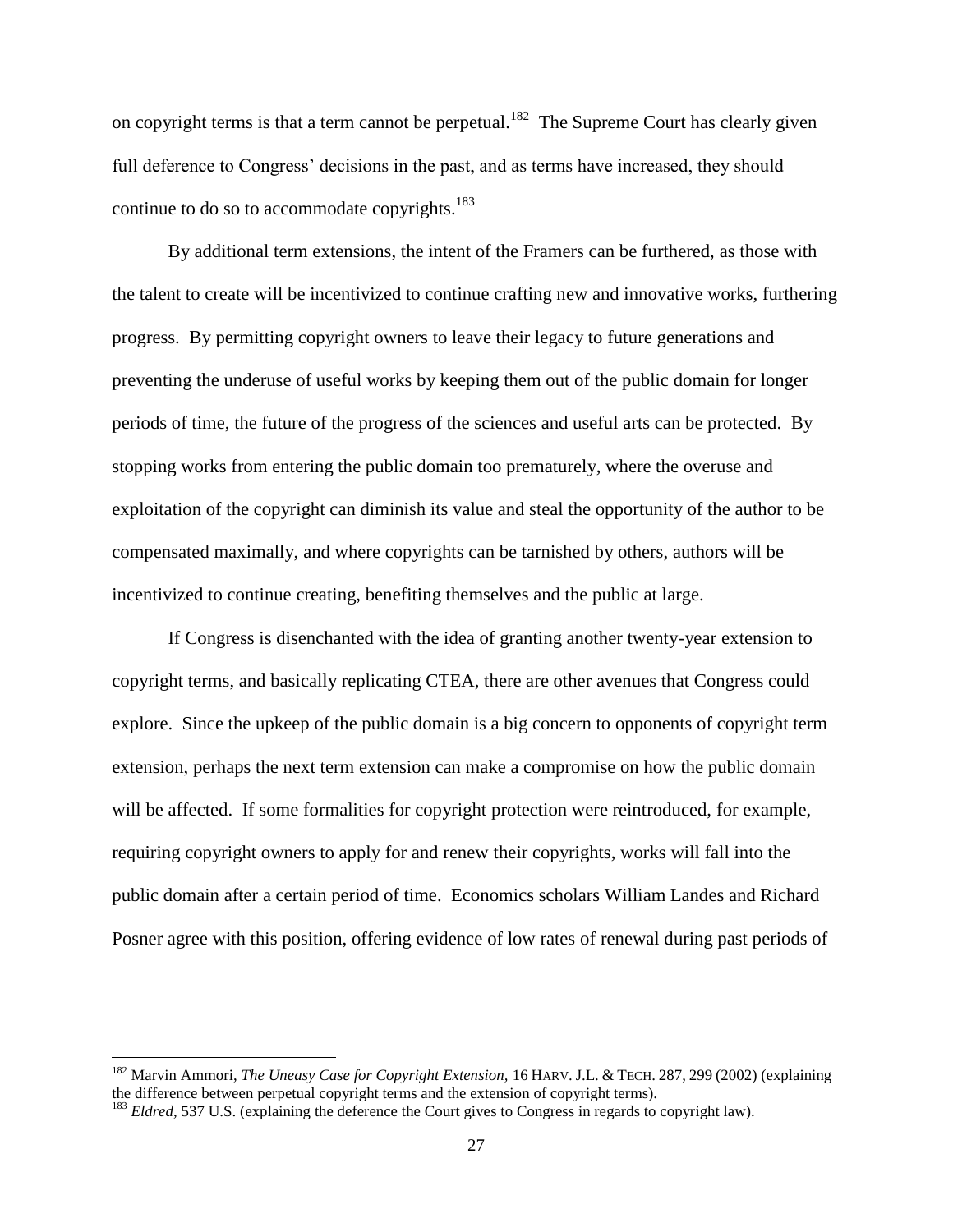on copyright terms is that a term cannot be perpetual.<sup>182</sup> The Supreme Court has clearly given full deference to Congress' decisions in the past, and as terms have increased, they should continue to do so to accommodate copyrights.<sup>183</sup>

By additional term extensions, the intent of the Framers can be furthered, as those with the talent to create will be incentivized to continue crafting new and innovative works, furthering progress. By permitting copyright owners to leave their legacy to future generations and preventing the underuse of useful works by keeping them out of the public domain for longer periods of time, the future of the progress of the sciences and useful arts can be protected. By stopping works from entering the public domain too prematurely, where the overuse and exploitation of the copyright can diminish its value and steal the opportunity of the author to be compensated maximally, and where copyrights can be tarnished by others, authors will be incentivized to continue creating, benefiting themselves and the public at large.

If Congress is disenchanted with the idea of granting another twenty-year extension to copyright terms, and basically replicating CTEA, there are other avenues that Congress could explore. Since the upkeep of the public domain is a big concern to opponents of copyright term extension, perhaps the next term extension can make a compromise on how the public domain will be affected. If some formalities for copyright protection were reintroduced, for example, requiring copyright owners to apply for and renew their copyrights, works will fall into the public domain after a certain period of time. Economics scholars William Landes and Richard Posner agree with this position, offering evidence of low rates of renewal during past periods of

<sup>182</sup> Marvin Ammori, *The Uneasy Case for Copyright Extension,* 16 HARV. J.L. & TECH. 287, 299 (2002) (explaining the difference between perpetual copyright terms and the extension of copyright terms).

<sup>&</sup>lt;sup>183</sup> *Eldred*, 537 U.S. (explaining the deference the Court gives to Congress in regards to copyright law).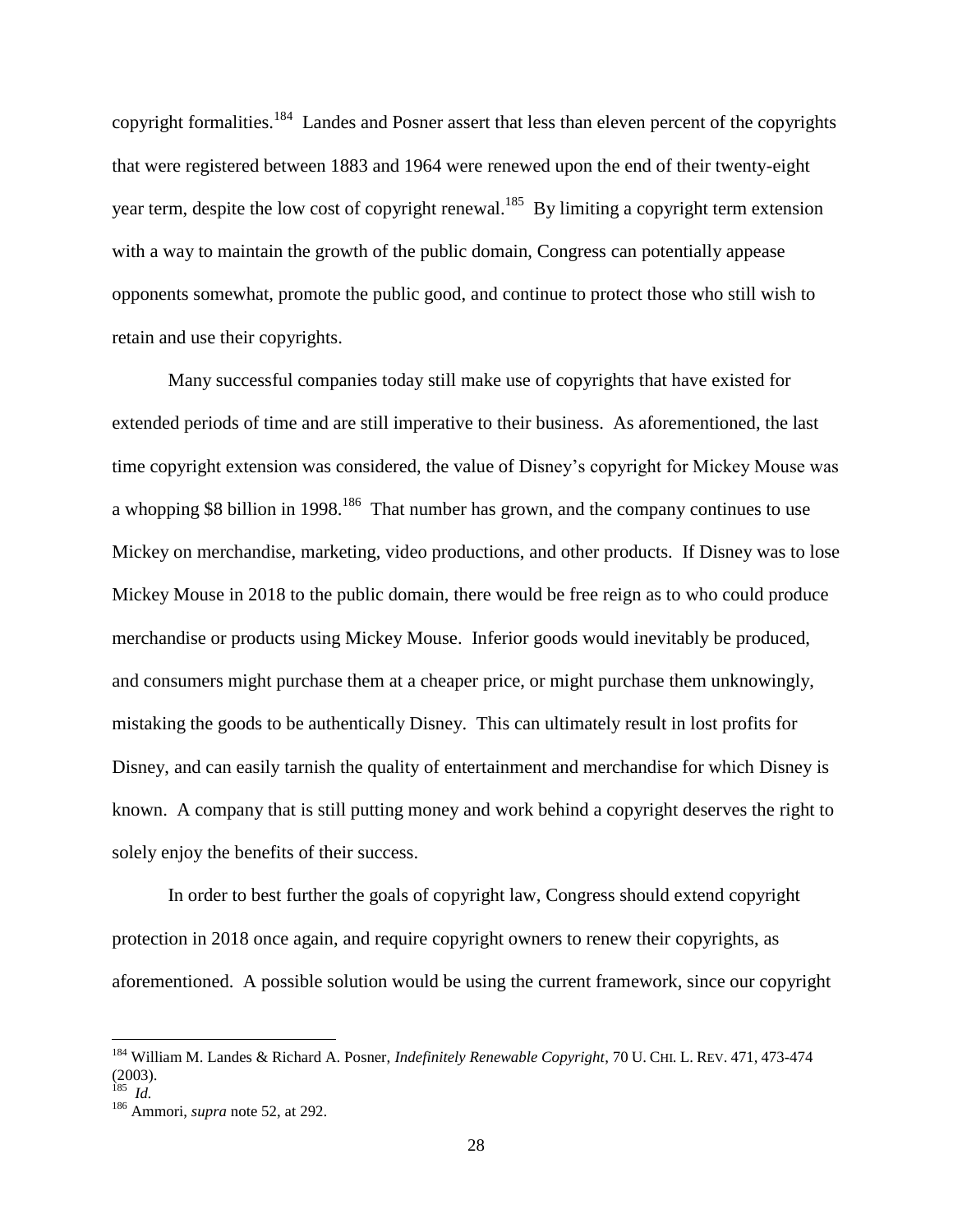copyright formalities.<sup>184</sup> Landes and Posner assert that less than eleven percent of the copyrights that were registered between 1883 and 1964 were renewed upon the end of their twenty-eight year term, despite the low cost of copyright renewal.<sup>185</sup> By limiting a copyright term extension with a way to maintain the growth of the public domain, Congress can potentially appease opponents somewhat, promote the public good, and continue to protect those who still wish to retain and use their copyrights.

Many successful companies today still make use of copyrights that have existed for extended periods of time and are still imperative to their business. As aforementioned, the last time copyright extension was considered, the value of Disney's copyright for Mickey Mouse was a whopping \$8 billion in 1998.<sup>186</sup> That number has grown, and the company continues to use Mickey on merchandise, marketing, video productions, and other products. If Disney was to lose Mickey Mouse in 2018 to the public domain, there would be free reign as to who could produce merchandise or products using Mickey Mouse. Inferior goods would inevitably be produced, and consumers might purchase them at a cheaper price, or might purchase them unknowingly, mistaking the goods to be authentically Disney. This can ultimately result in lost profits for Disney, and can easily tarnish the quality of entertainment and merchandise for which Disney is known. A company that is still putting money and work behind a copyright deserves the right to solely enjoy the benefits of their success.

In order to best further the goals of copyright law, Congress should extend copyright protection in 2018 once again, and require copyright owners to renew their copyrights, as aforementioned. A possible solution would be using the current framework, since our copyright

<sup>184</sup> William M. Landes & Richard A. Posner, *Indefinitely Renewable Copyright*, 70 U. CHI. L. REV. 471, 473-474 (2003).

<sup>185</sup> *Id.*

<sup>186</sup> Ammori, *supra* note 52, at 292.